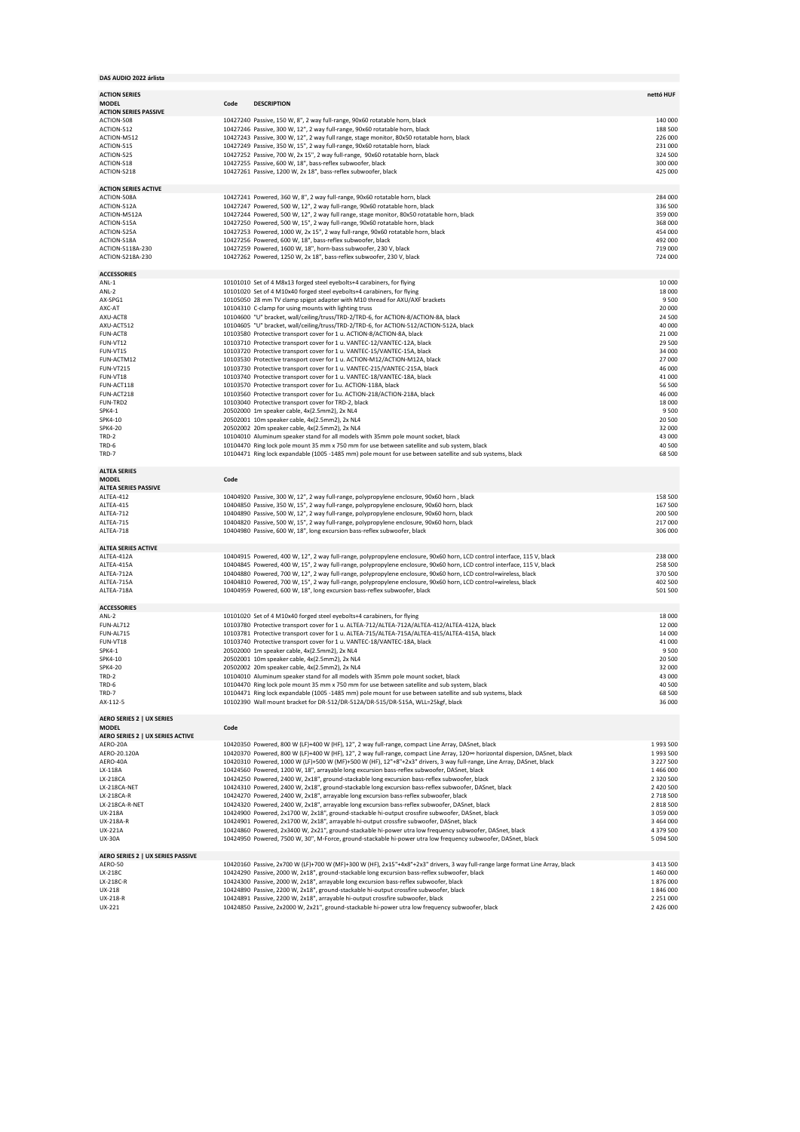|  |  |  |  | DAS AUDIO 2022 árlista |
|--|--|--|--|------------------------|
|--|--|--|--|------------------------|

| DAS AUDIO 2022 árlista               |                                                                                                                                                                                                                       |                            |
|--------------------------------------|-----------------------------------------------------------------------------------------------------------------------------------------------------------------------------------------------------------------------|----------------------------|
|                                      |                                                                                                                                                                                                                       |                            |
| <b>ACTION SERIES</b><br><b>MODEL</b> | <b>DESCRIPTION</b><br>Code                                                                                                                                                                                            | nettó HUF                  |
| <b>ACTION SERIES PASSIVE</b>         |                                                                                                                                                                                                                       |                            |
| ACTION-508                           | 10427240 Passive, 150 W, 8", 2 way full-range, 90x60 rotatable horn, black                                                                                                                                            | 140 000                    |
| ACTION-512<br>ACTION-M512            | 10427246 Passive, 300 W, 12", 2 way full-range, 90x60 rotatable horn, black<br>10427243 Passive, 300 W, 12", 2 way full range, stage monitor, 80x50 rotatable horn, black                                             | 188 500<br>226 000         |
| ACTION-515                           | 10427249 Passive, 350 W, 15", 2 way full-range, 90x60 rotatable horn, black                                                                                                                                           | 231 000                    |
| ACTION-525                           | 10427252 Passive, 700 W, 2x 15", 2 way full-range, 90x60 rotatable horn, black                                                                                                                                        | 324 500                    |
| ACTION-S18                           | 10427255 Passive, 600 W, 18", bass-reflex subwoofer, black                                                                                                                                                            | 300 000                    |
| ACTION-S218                          | 10427261 Passive, 1200 W, 2x 18", bass-reflex subwoofer, black                                                                                                                                                        | 425 000                    |
| <b>ACTION SERIES ACTIVE</b>          |                                                                                                                                                                                                                       |                            |
| ACTION-508A                          | 10427241 Powered, 360 W, 8", 2 way full-range, 90x60 rotatable horn, black                                                                                                                                            | 284 000                    |
| ACTION-512A                          | 10427247 Powered, 500 W, 12", 2 way full-range, 90x60 rotatable horn, black                                                                                                                                           | 336 500                    |
| ACTION-M512A<br>ACTION-515A          | 10427244 Powered, 500 W, 12", 2 way full range, stage monitor, 80x50 rotatable horn, black<br>10427250 Powered, 500 W, 15", 2 way full-range, 90x60 rotatable horn, black                                             | 359 000<br>368 000         |
| ACTION-525A                          | 10427253 Powered, 1000 W, 2x 15", 2 way full-range, 90x60 rotatable horn, black                                                                                                                                       | 454 000                    |
| ACTION-S18A                          | 10427256 Powered, 600 W, 18", bass-reflex subwoofer, black                                                                                                                                                            | 492 000                    |
| ACTION-S118A-230                     | 10427259 Powered, 1600 W, 18", horn-bass subwoofer, 230 V, black                                                                                                                                                      | 719 000                    |
| ACTION-S218A-230                     | 10427262 Powered, 1250 W, 2x 18", bass-reflex subwoofer, 230 V, black                                                                                                                                                 | 724 000                    |
| <b>ACCESSORIES</b>                   |                                                                                                                                                                                                                       |                            |
| ANL-1                                | 10101010 Set of 4 M8x13 forged steel eyebolts+4 carabiners, for flying                                                                                                                                                | 10 000                     |
| ANL-2                                | 10101020 Set of 4 M10x40 forged steel eyebolts+4 carabiners, for flying                                                                                                                                               | 18 000                     |
| AX-SPG1                              | 10105050 28 mm TV clamp spigot adapter with M10 thread for AXU/AXF brackets                                                                                                                                           | 9500                       |
| AXC-AT<br>AXU-ACT8                   | 10104310 C-clamp for using mounts with lighting truss<br>10104600 "U" bracket, wall/ceiling/truss/TRD-2/TRD-6, for ACTION-8/ACTION-8A, black                                                                          | 20 000<br>24 500           |
| AXU-ACT512                           | 10104605 "U" bracket, wall/ceiling/truss/TRD-2/TRD-6, for ACTION-512/ACTION-512A, black                                                                                                                               | 40 000                     |
| FUN-ACT8                             | 10103580 Protective transport cover for 1 u. ACTION-8/ACTION-8A, black                                                                                                                                                | 21 000                     |
| FUN-VT12                             | 10103710 Protective transport cover for 1 u. VANTEC-12/VANTEC-12A, black                                                                                                                                              | 29 500                     |
| FUN-VT15                             | 10103720 Protective transport cover for 1 u. VANTEC-15/VANTEC-15A, black                                                                                                                                              | 34 000                     |
| FUN-ACTM12<br><b>FUN-VT215</b>       | 10103530 Protective transport cover for 1 u. ACTION-M12/ACTION-M12A, black<br>10103730 Protective transport cover for 1 u. VANTEC-215/VANTEC-215A, black                                                              | 27 000<br>46 000           |
| FUN-VT18                             | 10103740 Protective transport cover for 1 u. VANTEC-18/VANTEC-18A, black                                                                                                                                              | 41 000                     |
| FUN-ACT118                           | 10103570 Protective transport cover for 1u. ACTION-118A, black                                                                                                                                                        | 56 500                     |
| FUN-ACT218                           | 10103560 Protective transport cover for 1u. ACTION-218/ACTION-218A, black                                                                                                                                             | 46 000                     |
| FUN-TRD2<br>SPK4-1                   | 10103040 Protective transport cover for TRD-2, black<br>20502000 1m speaker cable, 4x(2.5mm2), 2x NL4                                                                                                                 | 18 000<br>9500             |
| SPK4-10                              | 20502001 10m speaker cable, 4x(2.5mm2), 2x NL4                                                                                                                                                                        | 20 500                     |
| <b>SPK4-20</b>                       | 20502002 20m speaker cable, 4x(2.5mm2), 2x NL4                                                                                                                                                                        | 32 000                     |
| TRD-2                                | 10104010 Aluminum speaker stand for all models with 35mm pole mount socket, black                                                                                                                                     | 43 000                     |
| TRD-6                                | 10104470 Ring lock pole mount 35 mm x 750 mm for use between satellite and sub system, black                                                                                                                          | 40 500                     |
| TRD-7                                | 10104471 Ring lock expandable (1005 -1485 mm) pole mount for use between satellite and sub systems, black                                                                                                             | 68 500                     |
| <b>ALTEA SERIES</b>                  |                                                                                                                                                                                                                       |                            |
| <b>MODEL</b>                         | Code                                                                                                                                                                                                                  |                            |
| <b>ALTEA SERIES PASSIVE</b>          |                                                                                                                                                                                                                       |                            |
| ALTEA-412                            | 10404920 Passive, 300 W, 12", 2 way full-range, polypropylene enclosure, 90x60 horn , black                                                                                                                           | 158 500                    |
| ALTEA-415<br>ALTEA-712               | 10404850 Passive, 350 W, 15", 2 way full-range, polypropylene enclosure, 90x60 horn, black<br>10404890 Passive, 500 W, 12", 2 way full-range, polypropylene enclosure, 90x60 horn, black                              | 167 500<br>200 500         |
| ALTEA-715                            | 10404820 Passive, 500 W, 15", 2 way full-range, polypropylene enclosure, 90x60 horn, black                                                                                                                            | 217 000                    |
| ALTEA-718                            | 10404980 Passive, 600 W, 18", long excursion bass-reflex subwoofer, black                                                                                                                                             | 306 000                    |
| <b>ALTEA SERIES ACTIVE</b>           |                                                                                                                                                                                                                       |                            |
| ALTEA-412A                           | 10404915 Powered, 400 W, 12", 2 way full-range, polypropylene enclosure, 90x60 horn, LCD control interface, 115 V, black                                                                                              | 238 000                    |
| ALTEA-415A                           | 10404845 Powered, 400 W, 15", 2 way full-range, polypropylene enclosure, 90x60 horn, LCD control interface, 115 V, black                                                                                              | 258 500                    |
| ALTEA-712A                           | 10404880 Powered, 700 W, 12", 2 way full-range, polypropylene enclosure, 90x60 horn, LCD control+wireless, black                                                                                                      | 370 500                    |
| ALTEA-715A<br>ALTEA-718A             | 10404810 Powered, 700 W, 15", 2 way full-range, polypropylene enclosure, 90x60 horn, LCD control+wireless, black                                                                                                      | 402 500<br>501 500         |
|                                      | 10404959 Powered, 600 W, 18", long excursion bass-reflex subwoofer, black                                                                                                                                             |                            |
| <b>ACCESSORIES</b>                   |                                                                                                                                                                                                                       |                            |
| $ANL-2$                              | 10101020 Set of 4 M10x40 forged steel eyebolts+4 carabiners, for flying                                                                                                                                               | 18 000                     |
| FUN-AL712<br>FUN-AL715               | 10103780 Protective transport cover for 1 u. ALTEA-712/ALTEA-712A/ALTEA-412/ALTEA-412A, black<br>10103781 Protective transport cover for 1 u. ALTEA-715/ALTEA-715A/ALTEA-415/ALTEA-415A, black                        | 12 000<br>14 000           |
| FUN-VT18                             | 10103740 Protective transport cover for 1 u. VANTEC-18/VANTEC-18A, black                                                                                                                                              | 41 000                     |
| <b>SPK4-1</b>                        | 20502000 1m speaker cable, 4x(2.5mm2), 2x NL4                                                                                                                                                                         | 9500                       |
| SPK4-10                              | 20502001 10m speaker cable, 4x(2.5mm2), 2x NL4                                                                                                                                                                        | 20 500                     |
| SPK4-20                              | 20502002 20m speaker cable, 4x(2.5mm2), 2x NL4                                                                                                                                                                        | 32 000                     |
| TRD-2<br>TRD-6                       | 10104010 Aluminum speaker stand for all models with 35mm pole mount socket, black<br>10104470 Ring lock pole mount 35 mm x 750 mm for use between satellite and sub system, black                                     | 43 000<br>40 500           |
| TRD-7                                | 10104471 Ring lock expandable (1005 -1485 mm) pole mount for use between satellite and sub systems, black                                                                                                             | 68 500                     |
| AX-112-5                             | 10102390 Wall mount bracket for DR-512/DR-512A/DR-515/DR-515A, WLL=25kgf, black                                                                                                                                       | 36 000                     |
| AERO SERIES 2   UX SERIES            |                                                                                                                                                                                                                       |                            |
| <b>MODEL</b>                         | Code                                                                                                                                                                                                                  |                            |
| AERO SERIES 2   UX SERIES ACTIVE     |                                                                                                                                                                                                                       |                            |
| AERO-20A                             | 10420350 Powered, 800 W (LF)+400 W (HF), 12", 2 way full-range, compact Line Array, DASnet, black                                                                                                                     | 1993500                    |
| AERO-20.120A<br>AERO-40A             | 10420370 Powered, 800 W (LF)+400 W (HF), 12", 2 way full-range, compact Line Array, 120∞ horizontal dispersion, DASnet, black                                                                                         | 1993 500                   |
| LX-118A                              | 10420310 Powered, 1000 W (LF)+500 W (MF)+500 W (HF), 12"+8"+2x3" drivers, 3 way full-range, Line Array, DASnet, black<br>10424560 Powered, 1200 W, 18", arrayable long excursion bass-reflex subwoofer, DASnet, black | 3 227 500<br>1466000       |
| LX-218CA                             | 10424250 Powered, 2400 W, 2x18", ground-stackable long excursion bass-reflex subwoofer, black                                                                                                                         | 2 3 2 0 5 0 0              |
| LX-218CA-NET                         | 10424310 Powered, 2400 W, 2x18", ground-stackable long excursion bass-reflex subwoofer, DASnet, black                                                                                                                 | 2 420 500                  |
| LX-218CA-R                           | 10424270 Powered, 2400 W, 2x18", arrayable long excursion bass-reflex subwoofer, black                                                                                                                                | 2 718 500                  |
| LX-218CA-R-NET<br>UX-218A            | 10424320 Powered, 2400 W, 2x18", arrayable long excursion bass-reflex subwoofer, DASnet, black<br>10424900 Powered, 2x1700 W, 2x18", ground-stackable hi-output crossfire subwoofer, DASnet, black                    | 2 818 500<br>3 0 5 9 0 0 0 |
| UX-218A-R                            | 10424901 Powered, 2x1700 W, 2x18", arrayable hi-output crossfire subwoofer, DASnet, black                                                                                                                             | 3 4 6 4 0 0 0              |
| <b>UX-221A</b>                       | 10424860 Powered, 2x3400 W, 2x21", ground-stackable hi-power utra low frequency subwoofer, DASnet, black                                                                                                              | 4 379 500                  |
| <b>UX-30A</b>                        | 10424950 Powered, 7500 W, 30", M-Force, ground-stackable hi-power utra low frequency subwoofer, DASnet, black                                                                                                         | 5 094 500                  |
| AERO SERIES 2   UX SERIES PASSIVE    |                                                                                                                                                                                                                       |                            |
| AERO-50                              | 10420160 Passive, 2x700 W (LF)+700 W (MF)+300 W (HF), 2x15"+4x8"+2x3" drivers, 3 way full-range large format Line Array, black                                                                                        | 3 4 1 3 5 0 0              |
| LX-218C                              | 10424290 Passive, 2000 W, 2x18", ground-stackable long excursion bass-reflex subwoofer, black                                                                                                                         | 1 460 000                  |
| LX-218C-R                            | 10424300 Passive, 2000 W, 2x18", arrayable long excursion bass-reflex subwoofer, black                                                                                                                                | 1876000                    |
| UX-218<br>UX-218-R                   | 10424890 Passive, 2200 W, 2x18", ground-stackable hi-output crossfire subwoofer, black<br>10424891 Passive, 2200 W, 2x18", arrayable hi-output crossfire subwoofer, black                                             | 1846000<br>2 2 5 1 0 0 0   |
| UX-221                               | 10424850 Passive, 2x2000 W, 2x21", ground-stackable hi-power utra low frequency subwoofer, black                                                                                                                      | 2 426 000                  |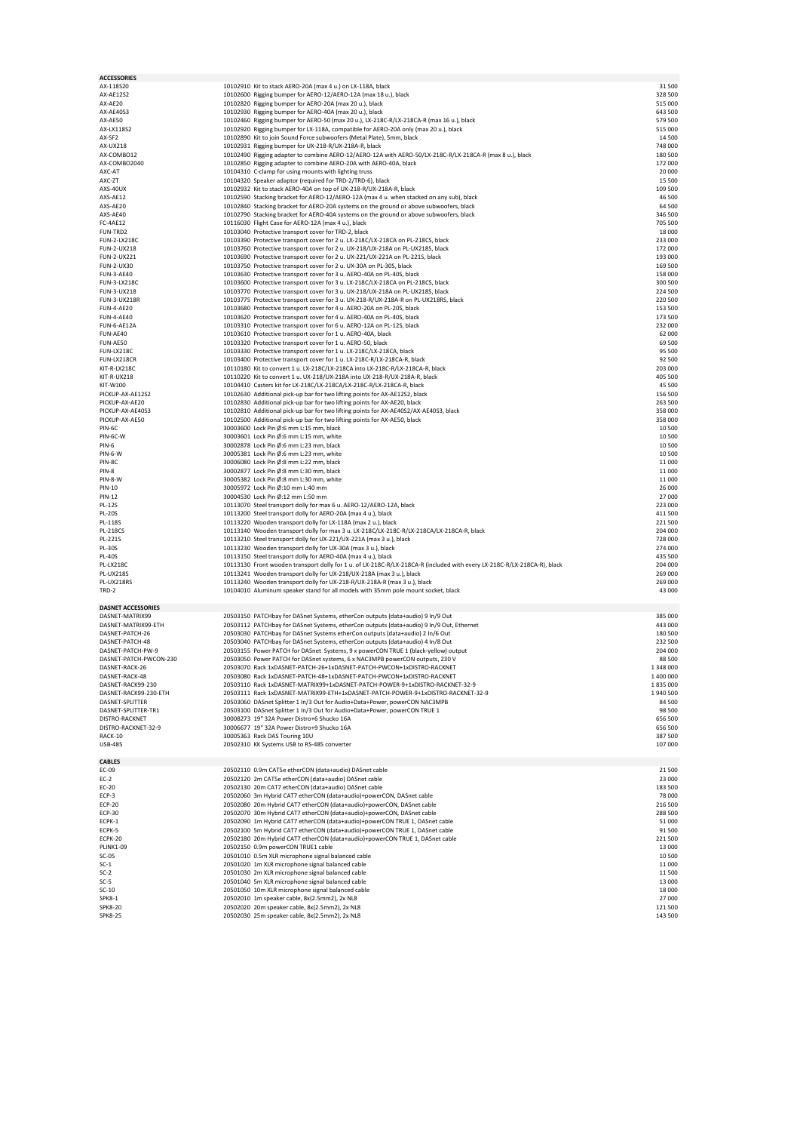| <b>ACCESSORIES</b>        |                                                                                                                          |           |
|---------------------------|--------------------------------------------------------------------------------------------------------------------------|-----------|
| AX-118S20                 | 10102910 Kit to stack AERO-20A (max 4 u.) on LX-118A, black                                                              | 31 500    |
| AX-AE12S2                 | 10102600 Rigging bumper for AERO-12/AERO-12A (max 18 u.), black                                                          | 328 500   |
| AX-AE20                   | 10102820 Rigging bumper for AERO-20A (max 20 u.), black                                                                  | 515 000   |
| AX-AE40S3                 | 10102930 Rigging bumper for AERO-40A (max 20 u.), black                                                                  | 643 500   |
| AX-AE50                   | 10102460 Rigging bumper for AERO-50 (max 20 u.), LX-218C-R/LX-218CA-R (max 16 u.), black                                 | 579 500   |
| AX-LX118S2                | 10102920 Rigging bumper for LX-118A, compatible for AERO-20A only (max 20 u.), black                                     | 515 000   |
| AX-SF2                    | 10102890 Kit to join Sound Force subwoofers (Metal Plate), 5mm, black                                                    | 14 500    |
| <b>AX-UX218</b>           | 10102931 Rigging bumper for UX-218-R/UX-218A-R, black                                                                    | 748 000   |
| AX-COMBO12                | 10102490 Rigging adapter to combine AERO-12/AERO-12A with AERO-50/LX-218C-R/LX-218CA-R (max 8 u.), black                 | 180 500   |
| AX-COMBO2040              | 10102850 Rigging adapter to combine AERO-20A with AERO-40A, black                                                        | 172 000   |
| AXC-AT                    | 10104310 C-clamp for using mounts with lighting truss                                                                    | 20 000    |
| AXC-ZT                    | 10104320 Speaker adaptor (required for TRD-2/TRD-6), black                                                               | 15 500    |
| AXS-40UX                  | 10102932 Kit to stack AERO-40A on top of UX-218-R/UX-218A-R, black                                                       | 109 500   |
| AXS-AE12                  | 10102590 Stacking bracket for AERO-12/AERO-12A (max 4 u. when stacked on any sub), black                                 | 46 500    |
| AXS-AE20                  | 10102840 Stacking bracket for AERO-20A systems on the ground or above subwoofers, black                                  | 64 500    |
| AXS-AE40                  | 10102790 Stacking bracket for AERO-40A systems on the ground or above subwoofers, black                                  | 346 500   |
| FC-4AE12                  | 10116030 Flight Case for AERO-12A (max 4 u.), black                                                                      | 705 500   |
| FUN-TRD2                  | 10103040 Protective transport cover for TRD-2, black                                                                     | 18 000    |
| FUN-2-LX218C              | 10103390 Protective transport cover for 2 u. LX-218C/LX-218CA on PL-218CS, black                                         | 233 000   |
| FUN-2-UX218               | 10103760 Protective transport cover for 2 u. UX-218/UX-218A on PL-UX218S, black                                          | 172 000   |
| FUN-2-UX221               |                                                                                                                          | 193 000   |
|                           | 10103690 Protective transport cover for 2 u. UX-221/UX-221A on PL-221S, black                                            |           |
| FUN-2-UX30                | 10103750 Protective transport cover for 2 u. UX-30A on PL-30S, black                                                     | 169 500   |
| <b>FUN-3-AE40</b>         | 10103630 Protective transport cover for 3 u. AERO-40A on PL-40S, black                                                   | 158 000   |
| FUN-3-LX218C              | 10103600 Protective transport cover for 3 u. LX-218C/LX-218CA on PL-218CS, black                                         | 300 500   |
| FUN-3-UX218               | 10103770 Protective transport cover for 3 u. UX-218/UX-218A on PL-UX218S, black                                          | 224 500   |
| <b>FUN-3-UX218R</b>       | 10103775 Protective transport cover for 3 u. UX-218-R/UX-218A-R on PL-UX218RS, black                                     | 220 500   |
| <b>FUN-4-AE20</b>         | 10103680 Protective transport cover for 4 u. AERO-20A on PL-20S, black                                                   | 153 500   |
| <b>FUN-4-AE40</b>         | 10103620 Protective transport cover for 4 u. AERO-40A on PL-40S, black                                                   | 173 500   |
| FUN-6-AE12A               | 10103310 Protective transport cover for 6 u. AERO-12A on PL-12S, black                                                   | 232 000   |
| FUN-AE40                  | 10103610 Protective transport cover for 1 u. AERO-40A, black                                                             | 62 000    |
| FUN-AE50                  | 10103320 Protective transport cover for 1 u. AERO-50, black                                                              | 69 500    |
| FUN-LX218C                | 10103330 Protective transport cover for 1 u. LX-218C/LX-218CA, black                                                     | 95 500    |
| FUN-LX218CR               | 10103400 Protective transport cover for 1 u. LX-218C-R/LX-218CA-R, black                                                 | 92 500    |
| KIT-R-LX218C              | 10110180 Kit to convert 1 u. LX-218C/LX-218CA into LX-218C-R/LX-218CA-R, black                                           | 203 000   |
| KIT-R-UX218               | 10110220 Kit to convert 1 u. UX-218/UX-218A into UX-218-R/UX-218A-R, black                                               | 405 500   |
| KIT-W100                  | 10104410 Casters kit for LX-218C/LX-218CA/LX-218C-R/LX-218CA-R, black                                                    | 45 500    |
| PICKUP-AX-AE12S2          | 10102630 Additional pick-up bar for two lifting points for AX-AE12S2, black                                              | 156 500   |
| PICKUP-AX-AE20            |                                                                                                                          |           |
|                           | 10102830 Additional pick-up bar for two lifting points for AX-AE20, black                                                | 263 500   |
| PICKUP-AX-AE40S3          | 10102810 Additional pick-up bar for two lifting points for AX-AE40S2/AX-AE40S3, black                                    | 358 000   |
| PICKUP-AX-AE50            | 10102500 Additional pick-up bar for two lifting points for AX-AE50, black                                                | 358 000   |
| PIN-6C                    | 30003600 Lock Pin Ø:6 mm L:15 mm, black                                                                                  | 10 500    |
| PIN-6C-W                  | 30003601 Lock Pin Ø:6 mm L:15 mm, white                                                                                  | 10 500    |
| PIN-6                     | 30002878 Lock Pin Ø:6 mm L:23 mm, black                                                                                  | 10 500    |
| PIN-6-W                   | 30005381 Lock Pin Ø:6 mm L:23 mm, white                                                                                  | 10 500    |
| PIN-8C                    | 30006080 Lock Pin Ø:8 mm L:22 mm, black                                                                                  | 11 000    |
| PIN-8                     | 30002877 Lock Pin Ø:8 mm L:30 mm, black                                                                                  | 11 000    |
| PIN-8-W                   | 30005382 Lock Pin Ø:8 mm L:30 mm, white                                                                                  | 11 000    |
| PIN-10                    | 30005972 Lock Pin Ø:10 mm L:40 mm                                                                                        | 26 000    |
| PIN-12                    | 30004530 Lock Pin Ø:12 mm L:50 mm                                                                                        | 27 000    |
|                           |                                                                                                                          |           |
|                           |                                                                                                                          |           |
| PL-12S                    | 10113070 Steel transport dolly for max 6 u. AERO-12/AERO-12A, black                                                      | 223 000   |
| <b>PL-20S</b>             | 10113200 Steel transport dolly for AERO-20A (max 4 u.), black                                                            | 411 500   |
| PL-118S                   | 10113220 Wooden transport dolly for LX-118A (max 2 u.), black                                                            | 221 500   |
| <b>PL-218CS</b>           | 10113140 Wooden transport dolly for max 3 u. LX-218C/LX-218C-R/LX-218CA/LX-218CA-R, black                                | 204 000   |
| PL-221S                   | 10113210 Steel transport dolly for UX-221/UX-221A (max 3 u.), black                                                      | 728 000   |
| <b>PL-30S</b>             | 10113230 Wooden transport dolly for UX-30A (max 3 u.), black                                                             | 274 000   |
| <b>PL-40S</b>             | 10113150 Steel transport dolly for AERO-40A (max 4 u.), black                                                            | 435 500   |
| PL-LX218C                 | 10113130 Front wooden transport dolly for 1 u. of LX-218C-R/LX-218CA-R (included with every LX-218C-R/LX-218CA-R), black | 204 000   |
| <b>PL-UX218S</b>          | 10113241 Wooden transport dolly for UX-218/UX-218A (max 3 u.), black                                                     | 269 000   |
| PL-UX218RS                | 10113240 Wooden transport dolly for UX-218-R/UX-218A-R (max 3 u.), black                                                 | 269 000   |
| TRD-2                     | 10104010 Aluminum speaker stand for all models with 35mm pole mount socket, black                                        | 43 000    |
|                           |                                                                                                                          |           |
| <b>DASNET ACCESSORIES</b> |                                                                                                                          |           |
| DASNET-MATRIX99           | 20503150 PATCHbay for DASnet Systems, etherCon outputs (data+audio) 9 In/9 Out                                           | 385 000   |
| DASNET-MATRIX99-ETH       | 20503112 PATCHbay for DASnet Systems, etherCon outputs (data+audio) 9 In/9 Out, Ethernet                                 | 443 000   |
| DASNET-PATCH-26           | 20503030 PATCHbay for DASnet Systems etherCon outputs (data+audio) 2 In/6 Out                                            | 180 500   |
| DASNET-PATCH-48           | 20503040 PATCHbay for DASnet Systems, etherCon outputs (data+audio) 4 In/8 Out                                           | 232 500   |
| DASNET-PATCH-PW-9         | 20503155 Power PATCH for DASnet Systems, 9 x powerCON TRUE 1 (black-yellow) output                                       | 204 000   |
| DASNET-PATCH-PWCON-230    | 20503050 Power PATCH for DASnet systems, 6 x NAC3MPB powerCON outputs, 230 V                                             | 88 500    |
| DASNET-RACK-26            | 20503070 Rack 1xDASNET-PATCH-26+1xDASNET-PATCH-PWCON+1xDISTRO-RACKNET                                                    | 1 348 000 |
| DASNET-RACK-48            | 20503080 Rack 1xDASNET-PATCH-48+1xDASNET-PATCH-PWCON+1xDISTRO-RACKNET                                                    | 1 400 000 |
| DASNET-RACK99-230         | 20503110 Rack 1xDASNET-MATRIX99+1xDASNET-PATCH-POWER-9+1xDISTRO-RACKNET-32-9                                             | 1 835 000 |
|                           |                                                                                                                          |           |
| DASNET-RACK99-230-ETH     | 20503111 Rack 1xDASNET-MATRIX99-ETH+1xDASNET-PATCH-POWER-9+1xDISTRO-RACKNET-32-9                                         | 1940 500  |
| DASNET-SPLITTER           | 20503060 DASnet Splitter 1 In/3 Out for Audio+Data+Power, powerCON NAC3MPB                                               | 84 500    |
| DASNET-SPLITTER-TR1       | 20503100 DASnet Splitter 1 In/3 Out for Audio+Data+Power, powerCON TRUE 1                                                | 98 500    |
| DISTRO-RACKNET            | 30008273 19" 32A Power Distro+6 Shucko 16A                                                                               | 656 500   |
| DISTRO-RACKNET-32-9       | 30006677 19" 32A Power Distro+9 Shucko 16A                                                                               | 656 500   |
| RACK-10                   | 30005363 Rack DAS Touring 10U                                                                                            | 387 500   |
| <b>USB-485</b>            | 20502310 KK Systems USB to RS-485 converter                                                                              | 107 000   |
|                           |                                                                                                                          |           |
| <b>CABLES</b>             |                                                                                                                          |           |
| EC-09                     | 20502110 0.9m CAT5e etherCON (data+audio) DASnet cable                                                                   | 21 500    |
| $EC-2$                    | 20502120 2m CAT5e etherCON (data+audio) DASnet cable                                                                     | 23 000    |
| EC-20                     | 20502130 20m CAT7 etherCON (data+audio) DASnet cable                                                                     | 183 500   |
| ECP-3                     | 20502060 3m Hybrid CAT7 etherCON (data+audio)+powerCON, DASnet cable                                                     | 78 000    |
| <b>ECP-20</b>             | 20502080 20m Hybrid CAT7 etherCON (data+audio)+powerCON, DASnet cable                                                    | 216 500   |
| <b>ECP-30</b>             | 20502070 30m Hybrid CAT7 etherCON (data+audio)+powerCON, DASnet cable                                                    | 288 500   |
| ECPK-1                    | 20502090 1m Hybrid CAT7 etherCON (data+audio)+powerCON TRUE 1, DASnet cable                                              | 51 000    |
| ECPK-5                    | 20502100 5m Hybrid CAT7 etherCON (data+audio)+powerCON TRUE 1, DASnet cable                                              | 91 500    |
| ECPK-20                   | 20502180 20m Hybrid CAT7 etherCON (data+audio)+powerCON TRUE 1, DASnet cable                                             | 221 500   |
| <b>PLINK1-09</b>          | 20502150 0.9m powerCON TRUE1 cable                                                                                       | 13 000    |
| $SC-05$                   | 20501010 0.5m XLR microphone signal balanced cable                                                                       | 10 500    |
| $SC-1$                    | 20501020 1m XLR microphone signal balanced cable                                                                         | 11 000    |
| $SC-2$                    | 20501030 2m XLR microphone signal balanced cable                                                                         | 11 500    |
| $SC-5$                    | 20501040 5m XLR microphone signal balanced cable                                                                         | 13 000    |
| $SC-10$                   | 20501050 10m XLR microphone signal balanced cable                                                                        | 18 000    |
| <b>SPK8-1</b>             |                                                                                                                          | 27 000    |
| <b>SPK8-20</b>            | 20502010 1m speaker cable, 8x(2.5mm2), 2x NL8<br>20502020 20m speaker cable, 8x(2.5mm2), 2x NL8                          | 121 500   |
| <b>SPK8-25</b>            | 20502030 25m speaker cable, 8x(2.5mm2), 2x NL8                                                                           | 143 500   |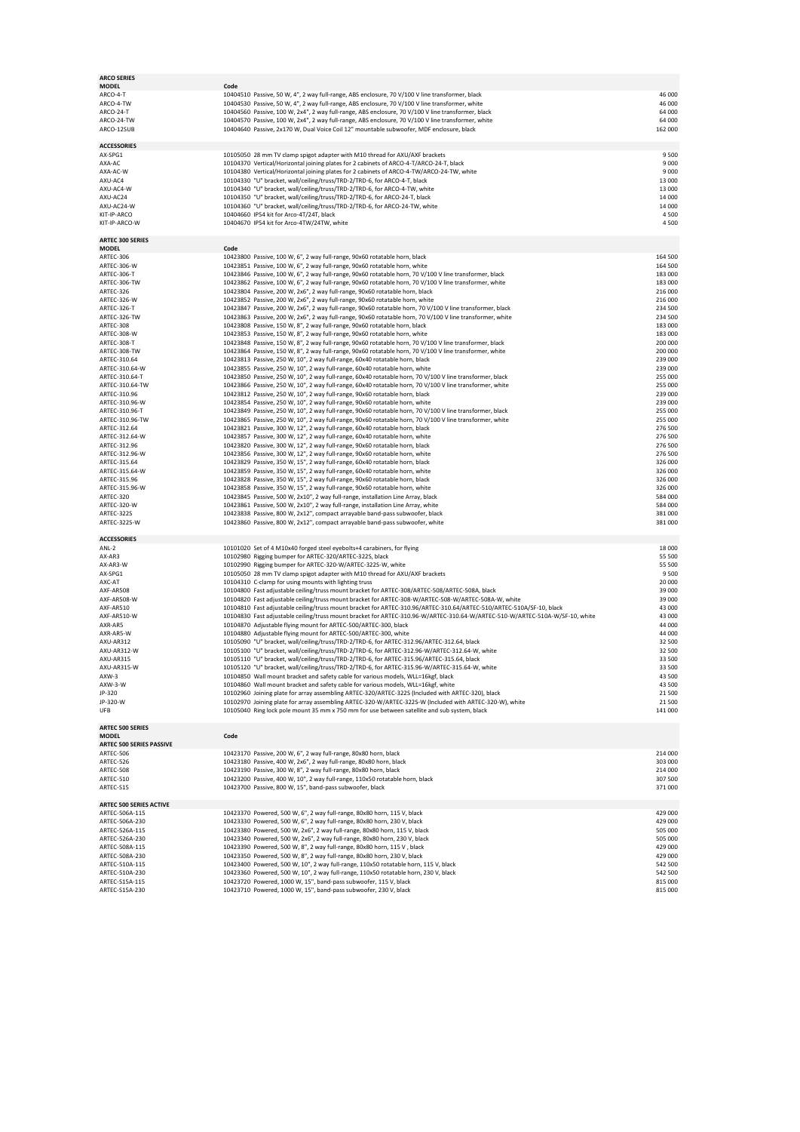| <b>ARCO SERIES</b><br><b>MODEL</b> | Code                                                                                                                                                                                                    |                                          |
|------------------------------------|---------------------------------------------------------------------------------------------------------------------------------------------------------------------------------------------------------|------------------------------------------|
| ARCO-4-T                           | 10404510 Passive, 50 W, 4", 2 way full-range, ABS enclosure, 70 V/100 V line transformer, black                                                                                                         | 46 000                                   |
| ARCO-4-TW                          | 10404530 Passive, 50 W, 4", 2 way full-range, ABS enclosure, 70 V/100 V line transformer, white                                                                                                         | 46 000                                   |
| ARCO-24-T                          | 10404560 Passive, 100 W, 2x4", 2 way full-range, ABS enclosure, 70 V/100 V line transformer, black                                                                                                      | 64 000                                   |
| ARCO-24-TW                         | 10404570 Passive, 100 W, 2x4", 2 way full-range, ABS enclosure, 70 V/100 V line transformer, white                                                                                                      | 64 000                                   |
| ARCO-12SUB                         | 10404640 Passive, 2x170 W, Dual Voice Coil 12" mountable subwoofer, MDF enclosure, black                                                                                                                | 162 000                                  |
|                                    |                                                                                                                                                                                                         |                                          |
| <b>ACCESSORIES</b>                 |                                                                                                                                                                                                         |                                          |
| AX-SPG1                            | 10105050 28 mm TV clamp spigot adapter with M10 thread for AXU/AXF brackets                                                                                                                             | 9500                                     |
| AXA-AC<br>AXA-AC-W                 | 10104370 Vertical/Horizontal joining plates for 2 cabinets of ARCO-4-T/ARCO-24-T, black                                                                                                                 | 9000<br>9 0 0 0                          |
| AXU-AC4                            | 10104380 Vertical/Horizontal joining plates for 2 cabinets of ARCO-4-TW/ARCO-24-TW, white<br>10104330 "U" bracket, wall/ceiling/truss/TRD-2/TRD-6, for ARCO-4-T, black                                  | 13 000                                   |
| AXU-AC4-W                          | 10104340 "U" bracket, wall/ceiling/truss/TRD-2/TRD-6, for ARCO-4-TW, white                                                                                                                              | 13 000                                   |
| AXU-AC24                           | 10104350 "U" bracket, wall/ceiling/truss/TRD-2/TRD-6, for ARCO-24-T, black                                                                                                                              | 14 000                                   |
| AXU-AC24-W                         | 10104360 "U" bracket, wall/ceiling/truss/TRD-2/TRD-6, for ARCO-24-TW, white                                                                                                                             | 14 000                                   |
| KIT-IP-ARCO                        | 10404660 IP54 kit for Arco-4T/24T, black                                                                                                                                                                | 4500                                     |
| KIT-IP-ARCO-W                      | 10404670 IP54 kit for Arco-4TW/24TW, white                                                                                                                                                              | 4500                                     |
|                                    |                                                                                                                                                                                                         |                                          |
| <b>ARTEC 300 SERIES</b>            |                                                                                                                                                                                                         |                                          |
| <b>MODEL</b>                       | Code                                                                                                                                                                                                    | 164 500                                  |
| ARTEC-306<br>ARTEC-306-W           | 10423800 Passive, 100 W, 6", 2 way full-range, 90x60 rotatable horn, black<br>10423851 Passive, 100 W, 6", 2 way full-range, 90x60 rotatable horn, white                                                | 164 500                                  |
| ARTEC-306-T                        | 10423846 Passive, 100 W, 6", 2 way full-range, 90x60 rotatable horn, 70 V/100 V line transformer, black                                                                                                 | 183 000                                  |
| ARTEC-306-TW                       | 10423862 Passive, 100 W, 6", 2 way full-range, 90x60 rotatable horn, 70 V/100 V line transformer, white                                                                                                 | 183 000                                  |
| ARTEC-326                          | 10423804 Passive, 200 W, 2x6", 2 way full-range, 90x60 rotatable horn, black                                                                                                                            | 216 000                                  |
| ARTEC-326-W                        | 10423852 Passive, 200 W, 2x6", 2 way full-range, 90x60 rotatable horn, white                                                                                                                            | 216 000                                  |
| ARTEC-326-T                        | 10423847 Passive, 200 W, 2x6", 2 way full-range, 90x60 rotatable horn, 70 V/100 V line transformer, black                                                                                               | 234 500                                  |
| ARTEC-326-TW                       | 10423863 Passive, 200 W, 2x6", 2 way full-range, 90x60 rotatable horn, 70 V/100 V line transformer, white                                                                                               | 234 500                                  |
| ARTEC-308                          | 10423808 Passive, 150 W, 8", 2 way full-range, 90x60 rotatable horn, black                                                                                                                              | 183 000                                  |
| ARTEC-308-W                        | 10423853 Passive, 150 W, 8", 2 way full-range, 90x60 rotatable horn, white                                                                                                                              | 183 000                                  |
| ARTEC-308-T                        | 10423848 Passive, 150 W, 8", 2 way full-range, 90x60 rotatable horn, 70 V/100 V line transformer, black                                                                                                 | 200 000                                  |
| ARTEC-308-TW                       | 10423864 Passive, 150 W, 8", 2 way full-range, 90x60 rotatable horn, 70 V/100 V line transformer, white                                                                                                 | 200 000                                  |
| ARTEC-310.64                       | 10423813 Passive, 250 W, 10", 2 way full-range, 60x40 rotatable horn, black                                                                                                                             | 239 000                                  |
| ARTEC-310.64-W<br>ARTEC-310.64-T   | 10423855 Passive, 250 W, 10", 2 way full-range, 60x40 rotatable horn, white<br>10423850 Passive, 250 W, 10", 2 way full-range, 60x40 rotatable horn, 70 V/100 V line transformer, black                 | 239 000<br>255 000                       |
| ARTEC-310.64-TW                    | 10423866 Passive, 250 W, 10", 2 way full-range, 60x40 rotatable horn, 70 V/100 V line transformer, white                                                                                                | 255 000                                  |
| ARTEC-310.96                       | 10423812 Passive, 250 W, 10", 2 way full-range, 90x60 rotatable horn, black                                                                                                                             | 239 000                                  |
| ARTEC-310.96-W                     | 10423854 Passive, 250 W, 10", 2 way full-range, 90x60 rotatable horn, white                                                                                                                             | 239 000                                  |
| ARTEC-310.96-T                     | 10423849 Passive, 250 W, 10", 2 way full-range, 90x60 rotatable horn, 70 V/100 V line transformer, black                                                                                                | 255 000                                  |
| ARTEC-310.96-TW                    | 10423865 Passive, 250 W, 10", 2 way full-range, 90x60 rotatable horn, 70 V/100 V line transformer, white                                                                                                | 255 000                                  |
| ARTEC-312.64                       | 10423821 Passive, 300 W, 12", 2 way full-range, 60x40 rotatable horn, black                                                                                                                             | 276 500                                  |
| ARTEC-312.64-W                     | 10423857 Passive, 300 W, 12", 2 way full-range, 60x40 rotatable horn, white                                                                                                                             | 276 500                                  |
| ARTEC-312.96                       | 10423820 Passive, 300 W, 12", 2 way full-range, 90x60 rotatable horn, black                                                                                                                             | 276 500                                  |
| ARTEC-312.96-W<br>ARTEC-315.64     | 10423856 Passive, 300 W, 12", 2 way full-range, 90x60 rotatable horn, white<br>10423829 Passive, 350 W, 15", 2 way full-range, 60x40 rotatable horn, black                                              | 276 500<br>326 000                       |
| ARTEC-315.64-W                     | 10423859 Passive, 350 W, 15", 2 way full-range, 60x40 rotatable horn, white                                                                                                                             | 326 000                                  |
| ARTEC-315.96                       | 10423828 Passive, 350 W, 15", 2 way full-range, 90x60 rotatable horn, black                                                                                                                             | 326 000                                  |
| ARTEC-315.96-W                     | 10423858 Passive, 350 W, 15", 2 way full-range, 90x60 rotatable horn, white                                                                                                                             | 326 000                                  |
| ARTEC-320                          | 10423845 Passive, 500 W, 2x10", 2 way full-range, installation Line Array, black                                                                                                                        | 584 000                                  |
| ARTEC-320-W                        | 10423861 Passive, 500 W, 2x10", 2 way full-range, installation Line Array, white                                                                                                                        | 584 000                                  |
| ARTEC-322S                         | 10423838 Passive, 800 W, 2x12", compact arrayable band-pass subwoofer, black                                                                                                                            | 381 000                                  |
| ARTEC-322S-W                       | 10423860 Passive, 800 W, 2x12", compact arrayable band-pass subwoofer, white                                                                                                                            | 381 000                                  |
|                                    |                                                                                                                                                                                                         |                                          |
| <b>ACCESSORIES</b><br>ANL-2        | 10101020 Set of 4 M10x40 forged steel eyebolts+4 carabiners, for flying                                                                                                                                 | 18 000                                   |
| AX-AR3                             | 10102980 Rigging bumper for ARTEC-320/ARTEC-322S, black                                                                                                                                                 | 55 500                                   |
| AX-AR3-W                           | 10102990 Rigging bumper for ARTEC-320-W/ARTEC-322S-W, white                                                                                                                                             | 55 500                                   |
| AX-SPG1                            | 10105050 28 mm TV clamp spigot adapter with M10 thread for AXU/AXF brackets                                                                                                                             | 9500                                     |
| AXC-AT                             | 10104310 C-clamp for using mounts with lighting truss                                                                                                                                                   | 20 000                                   |
| AXF-AR508                          | 10104800 Fast adjustable ceiling/truss mount bracket for ARTEC-308/ARTEC-508/ARTEC-508A, black                                                                                                          | 39 000                                   |
| AXF-AR508-W                        | 10104820 Fast adjustable ceiling/truss mount bracket for ARTEC-308-W/ARTEC-508-W/ARTEC-508A-W, white                                                                                                    | 39 000                                   |
| AXF-AR510                          | 10104810 Fast adjustable ceiling/truss mount bracket for ARTEC-310.96/ARTEC-310.64/ARTEC-510/ARTEC-510A/SF-10, black                                                                                    | 43 000                                   |
| AXF-AR510-W                        | 10104830 Fast adjustable ceiling/truss mount bracket for ARTEC-310.96-W/ARTEC-310.64-W/ARTEC-510-W/ARTEC-510A-W/SF-10, white                                                                            | 43 000                                   |
| AXR-AR5                            | 10104870 Adjustable flying mount for ARTEC-500/ARTEC-300, black                                                                                                                                         | 44 000                                   |
| AXR-AR5-W<br>AXU-AR312             | 10104880 Adjustable flying mount for ARTEC-500/ARTEC-300, white<br>10105090 "U" bracket, wall/ceiling/truss/TRD-2/TRD-6, for ARTEC-312.96/ARTEC-312.64, black                                           | 44 000<br>32 500                         |
| AXU-AR312-W                        | 10105100 "U" bracket, wall/ceiling/truss/TRD-2/TRD-6, for ARTEC-312.96-W/ARTEC-312.64-W, white                                                                                                          | 32 500                                   |
| AXU-AR315                          | 10105110 "U" bracket, wall/ceiling/truss/TRD-2/TRD-6, for ARTEC-315.96/ARTEC-315.64, black                                                                                                              | 33 500                                   |
| AXU-AR315-W                        | 10105120 "U" bracket, wall/ceiling/truss/TRD-2/TRD-6, for ARTEC-315.96-W/ARTEC-315.64-W, white                                                                                                          | 33 500                                   |
| AXW-3                              | 10104850 Wall mount bracket and safety cable for various models, WLL=16kgf, black                                                                                                                       | 43 500                                   |
| AXW-3-W                            | 10104860 Wall mount bracket and safety cable for various models, WLL=16kgf, white                                                                                                                       | 43 500                                   |
| JP-320                             | 10102960 Joining plate for array assembling ARTEC-320/ARTEC-322S (Included with ARTEC-320), black                                                                                                       | 21 500                                   |
| JP-320-W<br>UFB                    | 10102970 Joining plate for array assembling ARTEC-320-W/ARTEC-322S-W (Included with ARTEC-320-W), white<br>10105040 Ring lock pole mount 35 mm x 750 mm for use between satellite and sub system, black | 21 500<br>141 000                        |
|                                    |                                                                                                                                                                                                         |                                          |
| <b>ARTEC 500 SERIES</b>            |                                                                                                                                                                                                         |                                          |
| <b>MODEL</b>                       | Code                                                                                                                                                                                                    |                                          |
| ARTEC 500 SERIES PASSIVE           |                                                                                                                                                                                                         |                                          |
| ARTEC-506                          | 10423170 Passive, 200 W, 6", 2 way full-range, 80x80 horn, black                                                                                                                                        | 214 000                                  |
| ARTEC-526                          | 10423180 Passive, 400 W, 2x6", 2 way full-range, 80x80 horn, black                                                                                                                                      | 303 000                                  |
| ARTEC-508                          | 10423190 Passive, 300 W, 8", 2 way full-range, 80x80 horn, black                                                                                                                                        | 214 000                                  |
| ARTEC-510                          | 10423200 Passive, 400 W, 10", 2 way full-range, 110x50 rotatable horn, black                                                                                                                            | 307 500                                  |
| ARTEC-S15                          | 10423700 Passive, 800 W, 15", band-pass subwoofer, black                                                                                                                                                | 371 000                                  |
| <b>ARTEC 500 SERIES ACTIVE</b>     |                                                                                                                                                                                                         |                                          |
| ARTEC-506A-115                     | 10423370 Powered, 500 W, 6", 2 way full-range, 80x80 horn, 115 V, black                                                                                                                                 | 429 000                                  |
| ARTEC-506A-230                     | 10423330 Powered, 500 W, 6", 2 way full-range, 80x80 horn, 230 V, black                                                                                                                                 | 429 000                                  |
| ARTEC-526A-115                     | 10423380 Powered, 500 W, 2x6", 2 way full-range, 80x80 horn, 115 V, black                                                                                                                               | 505 000                                  |
| ARTEC-526A-230                     | 10423340 Powered, 500 W, 2x6", 2 way full-range, 80x80 horn, 230 V, black                                                                                                                               | 505 000                                  |
| ARTEC-508A-115                     | 10423390 Powered, 500 W, 8", 2 way full-range, 80x80 horn, 115 V , black                                                                                                                                | 429 000                                  |
| ARTEC-508A-230                     | 10423350 Powered, 500 W, 8", 2 way full-range, 80x80 horn, 230 V, black                                                                                                                                 | 429 000                                  |
| ARTEC-510A-115                     |                                                                                                                                                                                                         |                                          |
|                                    | 10423400 Powered, 500 W, 10", 2 way full-range, 110x50 rotatable horn, 115 V, black                                                                                                                     |                                          |
| ARTEC-510A-230                     | 10423360 Powered, 500 W, 10", 2 way full-range, 110x50 rotatable horn, 230 V, black                                                                                                                     |                                          |
| ARTEC-S15A-115<br>ARTEC-S15A-230   | 10423720 Powered, 1000 W, 15", band-pass subwoofer, 115 V, black<br>10423710 Powered, 1000 W, 15", band-pass subwoofer, 230 V, black                                                                    | 542 500<br>542 500<br>815 000<br>815 000 |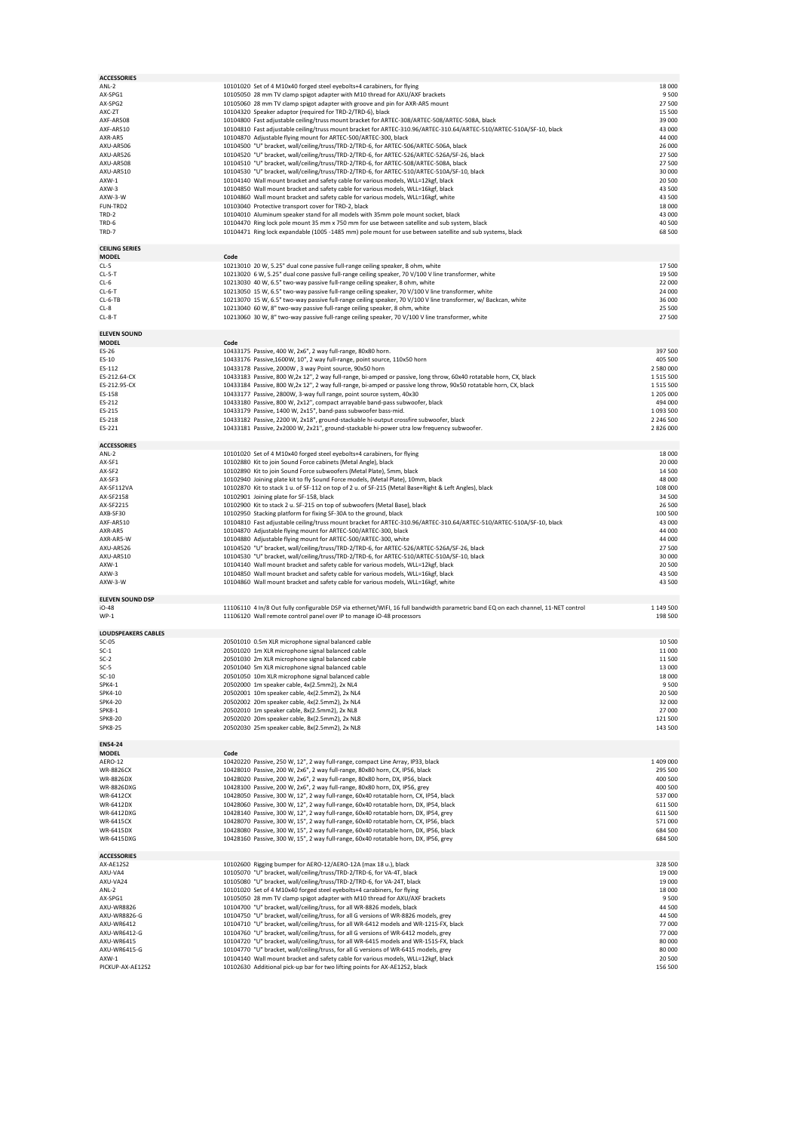| <b>ACCESSORIES</b>                    |                                                                                                                                                                                                                                                          |                             |
|---------------------------------------|----------------------------------------------------------------------------------------------------------------------------------------------------------------------------------------------------------------------------------------------------------|-----------------------------|
| ANL-2<br>AX-SPG1<br>AX-SPG2           | 10101020 Set of 4 M10x40 forged steel eyebolts+4 carabiners, for flying<br>10105050 28 mm TV clamp spigot adapter with M10 thread for AXU/AXF brackets<br>10105060 28 mm TV clamp spigot adapter with groove and pin for AXR-AR5 mount                   | 18 000<br>9500<br>27 500    |
| AXC-ZT                                | 10104320 Speaker adaptor (required for TRD-2/TRD-6), black                                                                                                                                                                                               | 15 500                      |
| AXF-AR508                             | 10104800 Fast adjustable ceiling/truss mount bracket for ARTEC-308/ARTEC-508/ARTEC-508A, black                                                                                                                                                           | 39 000                      |
| AXF-AR510                             | 10104810 Fast adjustable ceiling/truss mount bracket for ARTEC-310.96/ARTEC-310.64/ARTEC-510/ARTEC-510A/SF-10, black                                                                                                                                     | 43 000                      |
| AXR-AR5                               | 10104870 Adjustable flying mount for ARTEC-500/ARTEC-300, black<br>10104500 "U" bracket, wall/ceiling/truss/TRD-2/TRD-6, for ARTEC-506/ARTEC-506A, black                                                                                                 | 44 000                      |
| AXU-AR506<br>AXU-AR526                | 10104520 "U" bracket, wall/ceiling/truss/TRD-2/TRD-6, for ARTEC-526/ARTEC-526A/SF-26, black                                                                                                                                                              | 26 000<br>27 500            |
| AXU-AR508                             | 10104510 "U" bracket, wall/ceiling/truss/TRD-2/TRD-6, for ARTEC-508/ARTEC-508A, black                                                                                                                                                                    | 27 500                      |
| AXU-AR510                             | 10104530 "U" bracket, wall/ceiling/truss/TRD-2/TRD-6, for ARTEC-510/ARTEC-510A/SF-10, black                                                                                                                                                              | 30 000                      |
| AXW-1                                 | 10104140 Wall mount bracket and safety cable for various models, WLL=12kgf, black                                                                                                                                                                        | 20 500                      |
| AXW-3                                 | 10104850 Wall mount bracket and safety cable for various models, WLL=16kgf, black                                                                                                                                                                        | 43 500                      |
| AXW-3-W                               | 10104860 Wall mount bracket and safety cable for various models, WLL=16kgf, white                                                                                                                                                                        | 43 500                      |
| FUN-TRD2                              | 10103040 Protective transport cover for TRD-2, black                                                                                                                                                                                                     | 18 000                      |
| TRD-2<br>TRD-6                        | 10104010 Aluminum speaker stand for all models with 35mm pole mount socket, black<br>10104470 Ring lock pole mount 35 mm x 750 mm for use between satellite and sub system, black                                                                        | 43 000<br>40 500            |
| TRD-7                                 | 10104471 Ring lock expandable (1005 -1485 mm) pole mount for use between satellite and sub systems, black                                                                                                                                                | 68 500                      |
|                                       |                                                                                                                                                                                                                                                          |                             |
| <b>CEILING SERIES</b><br><b>MODEL</b> | Code                                                                                                                                                                                                                                                     |                             |
| $CL-5$                                | 10213010 20 W, 5.25" dual cone passive full-range ceiling speaker, 8 ohm, white                                                                                                                                                                          | 17500                       |
| $CL-5-T$                              | 10213020 6 W, 5.25" dual cone passive full-range ceiling speaker, 70 V/100 V line transformer, white                                                                                                                                                     | 19 500                      |
| $CL-6$                                | 10213030 40 W, 6.5" two-way passive full-range ceiling speaker, 8 ohm, white                                                                                                                                                                             | 22 000                      |
| $CL-6-T$<br>$CL-6-TB$                 | 10213050 15 W, 6.5" two-way passive full-range ceiling speaker, 70 V/100 V line transformer, white<br>10213070 15 W, 6.5" two-way passive full-range ceiling speaker, 70 V/100 V line transformer, w/ Backcan, white                                     | 24 000<br>36 000            |
| $CL-8$                                | 10213040 60 W, 8" two-way passive full-range ceiling speaker, 8 ohm, white                                                                                                                                                                               | 25 500                      |
| $CL-8-T$                              | 10213060 30 W, 8" two-way passive full-range ceiling speaker, 70 V/100 V line transformer, white                                                                                                                                                         | 27500                       |
| <b>ELEVEN SOUND</b>                   |                                                                                                                                                                                                                                                          |                             |
| <b>MODEL</b>                          | Code                                                                                                                                                                                                                                                     |                             |
| ES-26                                 | 10433175 Passive, 400 W, 2x6", 2 way full-range, 80x80 horn.<br>10433176 Passive, 1600W, 10", 2 way full-range, point source, 110x50 horn                                                                                                                | 397 500<br>405 500          |
| ES-10<br>ES-112                       | 10433178 Passive, 2000W, 3 way Point source, 90x50 horn                                                                                                                                                                                                  | 2 580 000                   |
| ES-212.64-CX                          | 10433183 Passive, 800 W,2x 12", 2 way full-range, bi-amped or passive, long throw, 60x40 rotatable horn, CX, black                                                                                                                                       | 1 5 1 5 5 0 0               |
| ES-212.95-CX                          | 10433184 Passive, 800 W,2x 12", 2 way full-range, bi-amped or passive long throw, 90x50 rotatable horn, CX, black                                                                                                                                        | 1515500                     |
| ES-158                                | 10433177 Passive, 2800W, 3-way full range, point source system, 40x30                                                                                                                                                                                    | 1 205 000                   |
| ES-212                                | 10433180 Passive, 800 W, 2x12", compact arrayable band-pass subwoofer, black                                                                                                                                                                             | 494 000                     |
| ES-215<br>FS-218                      | 10433179 Passive, 1400 W, 2x15", band-pass subwoofer bass-mid.                                                                                                                                                                                           | 1 093 500<br>2 246 500      |
| ES-221                                | 10433182 Passive, 2200 W, 2x18", ground-stackable hi-output crossfire subwoofer, black<br>10433181 Passive, 2x2000 W, 2x21", ground-stackable hi-power utra low frequency subwoofer.                                                                     | 2 826 000                   |
|                                       |                                                                                                                                                                                                                                                          |                             |
| <b>ACCESSORIES</b><br>$ANL-2$         | 10101020 Set of 4 M10x40 forged steel eyebolts+4 carabiners, for flying                                                                                                                                                                                  | 18 000                      |
| AX-SF1                                | 10102880 Kit to join Sound Force cabinets (Metal Angle), black                                                                                                                                                                                           | 20 000                      |
| AX-SF2                                | 10102890 Kit to join Sound Force subwoofers (Metal Plate), 5mm, black                                                                                                                                                                                    | 14 500                      |
| AX-SF3                                | 10102940 Joining plate kit to fly Sound Force models, (Metal Plate), 10mm, black                                                                                                                                                                         | 48 000                      |
| AX-SF112VA                            | 10102870 Kit to stack 1 u. of SF-112 on top of 2 u. of SF-215 (Metal Base+Right & Left Angles), black                                                                                                                                                    | 108 000                     |
| AX-SF2158                             | 10102901 Joining plate for SF-158, black<br>10102900 Kit to stack 2 u. SF-215 on top of subwoofers (Metal Base), black                                                                                                                                   | 34 500<br>26 500            |
| AX-SF2215<br>AXB-SF30                 | 10102950 Stacking platform for fixing SF-30A to the ground, black                                                                                                                                                                                        | 100 500                     |
| AXF-AR510                             | 10104810 Fast adjustable ceiling/truss mount bracket for ARTEC-310.96/ARTEC-310.64/ARTEC-510/ARTEC-510A/SF-10, black                                                                                                                                     | 43 000                      |
| AXR-AR5                               | 10104870 Adjustable flying mount for ARTEC-500/ARTEC-300, black                                                                                                                                                                                          | 44 000                      |
| AXR-AR5-W                             | 10104880 Adjustable flying mount for ARTEC-500/ARTEC-300, white                                                                                                                                                                                          | 44 000                      |
| AXU-AR526                             | 10104520 "U" bracket, wall/ceiling/truss/TRD-2/TRD-6, for ARTEC-526/ARTEC-526A/SF-26, black                                                                                                                                                              | 27 500                      |
| AXU-AR510<br>AXW-1                    | 10104530 "U" bracket, wall/ceiling/truss/TRD-2/TRD-6, for ARTEC-510/ARTEC-510A/SF-10, black<br>10104140 Wall mount bracket and safety cable for various models, WLL=12kgf, black                                                                         | 30 000<br>20 500            |
| AXW-3                                 | 10104850 Wall mount bracket and safety cable for various models, WLL=16kgf, black                                                                                                                                                                        | 43 500                      |
| AXW-3-W                               | 10104860 Wall mount bracket and safety cable for various models, WLL=16kgf, white                                                                                                                                                                        | 43 500                      |
| <b>ELEVEN SOUND DSP</b>               |                                                                                                                                                                                                                                                          |                             |
| iO-48                                 | 11106110 4 In/8 Out fully configurable DSP via ethernet/WIFI, 16 full bandwidth parametric band EQ on each channel, 11-NET control                                                                                                                       | 1 149 500                   |
| $WP-1$                                | 11106120 Wall remote control panel over IP to manage iO-48 processors                                                                                                                                                                                    | 198 500                     |
| <b>LOUDSPEAKERS CABLES</b>            |                                                                                                                                                                                                                                                          |                             |
| $SC-05$                               | 20501010 0.5m XLR microphone signal balanced cable                                                                                                                                                                                                       | 10 500                      |
| $SC-1$                                | 20501020 1m XLR microphone signal balanced cable                                                                                                                                                                                                         | 11 000                      |
| $SC-2$<br>$SC-5$                      | 20501030 2m XLR microphone signal balanced cable<br>20501040 5m XLR microphone signal balanced cable                                                                                                                                                     | 11 500<br>13 000            |
| $SC-10$                               | 20501050 10m XLR microphone signal balanced cable                                                                                                                                                                                                        | 18 000                      |
| SPK4-1                                | 20502000 1m speaker cable, 4x(2.5mm2), 2x NL4                                                                                                                                                                                                            | 9500                        |
| SPK4-10                               | 20502001 10m speaker cable, 4x(2.5mm2), 2x NL4                                                                                                                                                                                                           | 20 500                      |
| SPK4-20<br>SPK8-1                     | 20502002 20m speaker cable, 4x(2.5mm2), 2x NL4<br>20502010 1m speaker cable, 8x(2.5mm2), 2x NL8                                                                                                                                                          | 32 000<br>27 000            |
| <b>SPK8-20</b>                        | 20502020 20m speaker cable, 8x(2.5mm2), 2x NL8                                                                                                                                                                                                           | 121 500                     |
| <b>SPK8-25</b>                        | 20502030 25m speaker cable, 8x(2.5mm2), 2x NL8                                                                                                                                                                                                           | 143 500                     |
| <b>EN54-24</b>                        |                                                                                                                                                                                                                                                          |                             |
| <b>MODEL</b>                          | Code                                                                                                                                                                                                                                                     |                             |
| AERO-12                               | 10420220 Passive, 250 W, 12", 2 way full-range, compact Line Array, IP33, black                                                                                                                                                                          | 1 409 000                   |
| <b>WR-8826CX</b>                      | 10428010 Passive, 200 W, 2x6", 2 way full-range, 80x80 horn, CX, IP56, black                                                                                                                                                                             | 295 500                     |
| WR-8826DX<br>WR-8826DXG               | 10428020 Passive, 200 W, 2x6", 2 way full-range, 80x80 horn, DX, IP56, black<br>10428100 Passive, 200 W, 2x6", 2 way full-range, 80x80 horn, DX, IP56, grey                                                                                              | 400 500<br>400 500          |
| <b>WR-6412CX</b>                      | 10428050 Passive, 300 W, 12", 2 way full-range, 60x40 rotatable horn, CX, IP54, black                                                                                                                                                                    | 537 000                     |
| WR-6412DX                             | 10428060 Passive, 300 W, 12", 2 way full-range, 60x40 rotatable horn, DX, IP54, black                                                                                                                                                                    | 611 500                     |
| WR-6412DXG                            | 10428140 Passive, 300 W, 12", 2 way full-range, 60x40 rotatable horn, DX, IP54, grey                                                                                                                                                                     | 611 500                     |
| <b>WR-6415CX</b><br>WR-6415DX         | 10428070 Passive, 300 W, 15", 2 way full-range, 60x40 rotatable horn, CX, IP56, black<br>10428080 Passive, 300 W, 15", 2 way full-range, 60x40 rotatable horn, DX, IP56, black                                                                           | 571 000<br>684 500          |
| WR-6415DXG                            | 10428160 Passive, 300 W, 15", 2 way full-range, 60x40 rotatable horn, DX, IP56, grey                                                                                                                                                                     | 684 500                     |
| <b>ACCESSORIES</b>                    |                                                                                                                                                                                                                                                          |                             |
| AX-AE12S2                             | 10102600 Rigging bumper for AERO-12/AERO-12A (max 18 u.), black                                                                                                                                                                                          | 328 500                     |
| AXU-VA4                               | 10105070 "U" bracket, wall/ceiling/truss/TRD-2/TRD-6, for VA-4T, black                                                                                                                                                                                   | 19 000                      |
| AXU-VA24                              | 10105080 "U" bracket, wall/ceiling/truss/TRD-2/TRD-6, for VA-24T, black                                                                                                                                                                                  | 19 000                      |
| ANL-2<br>AX-SPG1                      |                                                                                                                                                                                                                                                          | 18 000                      |
|                                       | 10101020 Set of 4 M10x40 forged steel eyebolts+4 carabiners, for flying                                                                                                                                                                                  |                             |
|                                       | 10105050 28 mm TV clamp spigot adapter with M10 thread for AXU/AXF brackets                                                                                                                                                                              | 9500                        |
| AXU-WR8826<br>AXU-WR8826-G            | 10104700 "U" bracket, wall/ceiling/truss, for all WR-8826 models, black<br>10104750 "U" bracket, wall/ceiling/truss, for all G versions of WR-8826 models, grey                                                                                          | 44 500<br>44 500            |
| AXU-WR6412                            | 10104710 "U" bracket, wall/ceiling/truss, for all WR-6412 models and WR-121S-FX, black                                                                                                                                                                   | 77 000                      |
| AXU-WR6412-G                          | 10104760 "U" bracket, wall/ceiling/truss, for all G versions of WR-6412 models, grey                                                                                                                                                                     | 77 000                      |
| AXU-WR6415                            | 10104720 "U" bracket, wall/ceiling/truss, for all WR-6415 models and WR-151S-FX, black                                                                                                                                                                   | 80 000                      |
| AXU-WR6415-G<br>AXW-1                 | 10104770 "U" bracket, wall/ceiling/truss, for all G versions of WR-6415 models, grey<br>10104140 Wall mount bracket and safety cable for various models, WLL=12kgf, black<br>10102630 Additional pick-up bar for two lifting points for AX-AE12S2, black | 80 000<br>20 500<br>156 500 |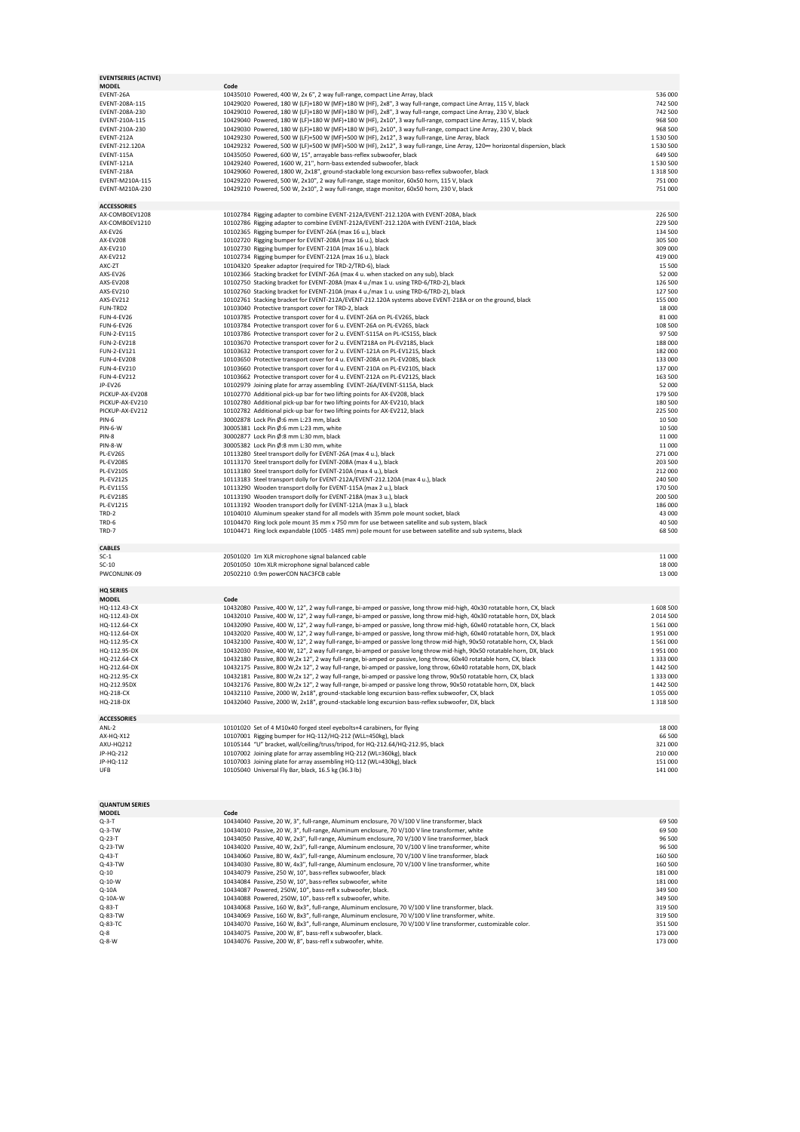| <b>MODEL</b><br>EVENT-26A             | Code<br>10435010 Powered, 400 W, 2x 6", 2 way full-range, compact Line Array, black                                                                                                                                                                   |                        |
|---------------------------------------|-------------------------------------------------------------------------------------------------------------------------------------------------------------------------------------------------------------------------------------------------------|------------------------|
| EVENT-208A-115                        | 10429020 Powered, 180 W (LF)+180 W (MF)+180 W (HF), 2x8", 3 way full-range, compact Line Array, 115 V, black                                                                                                                                          | 536 000<br>742 500     |
| EVENT-208A-230                        | 10429010 Powered, 180 W (LF)+180 W (MF)+180 W (HF), 2x8", 3 way full-range, compact Line Array, 230 V, black                                                                                                                                          | 742 500                |
| EVENT-210A-115                        | 10429040 Powered, 180 W (LF)+180 W (MF)+180 W (HF), 2x10", 3 way full-range, compact Line Array, 115 V, black                                                                                                                                         | 968 500                |
| EVENT-210A-230                        | 10429030 Powered, 180 W (LF)+180 W (MF)+180 W (HF), 2x10", 3 way full-range, compact Line Array, 230 V, black                                                                                                                                         | 968 500                |
| EVENT-212A                            | 10429230 Powered, 500 W (LF)+500 W (MF)+500 W (HF), 2x12", 3 way full-range, Line Array, black                                                                                                                                                        | 1 530 500              |
| EVENT-212.120A                        | 10429232 Powered, 500 W (LF)+500 W (MF)+500 W (HF), 2x12", 3 way full-range, Line Array, 120∞ horizontal dispersion, black                                                                                                                            | 1 530 500              |
| EVENT-115A<br>EVENT-121A              | 10435050 Powered, 600 W, 15", arrayable bass-reflex subwoofer, black<br>10429240 Powered, 1600 W, 21", horn-bass extended subwoofer, black                                                                                                            | 649 500<br>1 530 500   |
| EVENT-218A                            | 10429060 Powered, 1800 W, 2x18", ground-stackable long excursion bass-reflex subwoofer, black                                                                                                                                                         | 1 3 1 8 5 0 0          |
| EVENT-M210A-115                       | 10429220 Powered, 500 W, 2x10", 2 way full-range, stage monitor, 60x50 horn, 115 V, black                                                                                                                                                             | 751 000                |
| EVENT-M210A-230                       | 10429210 Powered, 500 W, 2x10", 2 way full-range, stage monitor, 60x50 horn, 230 V, black                                                                                                                                                             | 751 000                |
| <b>ACCESSORIES</b>                    |                                                                                                                                                                                                                                                       |                        |
| AX-COMBOEV1208                        | 10102784 Rigging adapter to combine EVENT-212A/EVENT-212.120A with EVENT-208A, black                                                                                                                                                                  | 226 500                |
| AX-COMBOEV1210                        | 10102786 Rigging adapter to combine EVENT-212A/EVENT-212.120A with EVENT-210A, black                                                                                                                                                                  | 229 500                |
| AX-EV26                               | 10102365 Rigging bumper for EVENT-26A (max 16 u.), black                                                                                                                                                                                              | 134 500                |
| <b>AX-EV208</b>                       | 10102720 Rigging bumper for EVENT-208A (max 16 u.), black                                                                                                                                                                                             | 305 500                |
| AX-EV210<br>AX-EV212                  | 10102730 Rigging bumper for EVENT-210A (max 16 u.), black<br>10102734 Rigging bumper for EVENT-212A (max 16 u.), black                                                                                                                                | 309 000<br>419 000     |
| AXC-ZT                                | 10104320 Speaker adaptor (required for TRD-2/TRD-6), black                                                                                                                                                                                            | 15 500                 |
| AXS-EV26                              | 10102366 Stacking bracket for EVENT-26A (max 4 u. when stacked on any sub), black                                                                                                                                                                     | 52 000                 |
| AXS-EV208                             | 10102750 Stacking bracket for EVENT-208A (max 4 u./max 1 u. using TRD-6/TRD-2), black                                                                                                                                                                 | 126 500                |
| AXS-EV210                             | 10102760 Stacking bracket for EVENT-210A (max 4 u./max 1 u. using TRD-6/TRD-2), black                                                                                                                                                                 | 127 500                |
| AXS-EV212                             | 10102761 Stacking bracket for EVENT-212A/EVENT-212.120A systems above EVENT-218A or on the ground, black                                                                                                                                              | 155 000                |
| FUN-TRD2<br><b>FUN-4-EV26</b>         | 10103040 Protective transport cover for TRD-2, black<br>10103785 Protective transport cover for 4 u. EVENT-26A on PL-EV26S, black                                                                                                                     | 18 000<br>81 000       |
| <b>FUN-6-EV26</b>                     | 10103784 Protective transport cover for 6 u. EVENT-26A on PL-EV26S, black                                                                                                                                                                             | 108 500                |
| FUN-2-EV115                           | 10103786 Protective transport cover for 2 u. EVENT-S115A on PL-ICS15S, black                                                                                                                                                                          | 97 500                 |
| FUN-2-EV218                           | 10103670 Protective transport cover for 2 u. EVENT218A on PL-EV218S, black                                                                                                                                                                            | 188 000                |
| FUN-2-EV121                           | 10103632 Protective transport cover for 2 u. EVENT-121A on PL-EV121S, black                                                                                                                                                                           | 182 000                |
| <b>FUN-4-EV208</b>                    | 10103650 Protective transport cover for 4 u. EVENT-208A on PL-EV208S, black                                                                                                                                                                           | 133 000                |
| FUN-4-EV210<br><b>FUN-4-EV212</b>     | 10103660 Protective transport cover for 4 u. EVENT-210A on PL-EV210S, black<br>10103662 Protective transport cover for 4 u. EVENT-212A on PL-EV212S, black                                                                                            | 137 000<br>163 500     |
| JP-EV26                               | 10102979 Joining plate for array assembling EVENT-26A/EVENT-S115A, black                                                                                                                                                                              | 52 000                 |
| PICKUP-AX-EV208                       | 10102770 Additional pick-up bar for two lifting points for AX-EV208, black                                                                                                                                                                            | 179 500                |
| PICKUP-AX-EV210                       | 10102780 Additional pick-up bar for two lifting points for AX-EV210, black                                                                                                                                                                            | 180 500                |
| PICKUP-AX-EV212                       | 10102782 Additional pick-up bar for two lifting points for AX-EV212, black                                                                                                                                                                            | 225 500                |
| <b>PIN-6</b>                          | 30002878 Lock Pin Ø:6 mm L:23 mm, black                                                                                                                                                                                                               | 10 500                 |
| PIN-6-W<br>PIN-8                      | 30005381 Lock Pin Ø:6 mm L:23 mm, white                                                                                                                                                                                                               | 10 500<br>11 000       |
| <b>PIN-8-W</b>                        | 30002877 Lock Pin Ø:8 mm L:30 mm, black<br>30005382 Lock Pin Ø:8 mm L:30 mm, white                                                                                                                                                                    | 11 000                 |
| PL-EV26S                              | 10113280 Steel transport dolly for EVENT-26A (max 4 u.), black                                                                                                                                                                                        | 271 000                |
| <b>PL-EV208S</b>                      | 10113170 Steel transport dolly for EVENT-208A (max 4 u.), black                                                                                                                                                                                       | 203 500                |
| <b>PL-EV210S</b>                      | 10113180 Steel transport dolly for EVENT-210A (max 4 u.), black                                                                                                                                                                                       | 212 000                |
| <b>PL-EV212S</b>                      | 10113183 Steel transport dolly for EVENT-212A/EVENT-212.120A (max 4 u.), black                                                                                                                                                                        | 240 500                |
| <b>PL-EV115S</b><br><b>PL-EV218S</b>  | 10113290 Wooden transport dolly for EVENT-115A (max 2 u.), black<br>10113190 Wooden transport dolly for EVENT-218A (max 3 u.), black                                                                                                                  | 170 500<br>200 500     |
| <b>PL-EV121S</b>                      | 10113192 Wooden transport dolly for EVENT-121A (max 3 u.), black                                                                                                                                                                                      | 186 000                |
| TRD-2                                 | 10104010 Aluminum speaker stand for all models with 35mm pole mount socket, black                                                                                                                                                                     | 43 000                 |
| TRD-6                                 | 10104470 Ring lock pole mount 35 mm x 750 mm for use between satellite and sub system, black                                                                                                                                                          | 40 500                 |
| TRD-7                                 | 10104471 Ring lock expandable (1005 -1485 mm) pole mount for use between satellite and sub systems, black                                                                                                                                             | 68 500                 |
| <b>CABLES</b>                         |                                                                                                                                                                                                                                                       |                        |
|                                       |                                                                                                                                                                                                                                                       |                        |
| $SC-1$                                | 20501020 1m XLR microphone signal balanced cable                                                                                                                                                                                                      | 11 000                 |
| $SC-10$                               | 20501050 10m XLR microphone signal balanced cable                                                                                                                                                                                                     | 18 000                 |
| PWCONLINK-09                          | 20502210 0.9m powerCON NAC3FCB cable                                                                                                                                                                                                                  | 13 000                 |
| <b>HQ SERIES</b>                      |                                                                                                                                                                                                                                                       |                        |
| <b>MODEL</b>                          | Code                                                                                                                                                                                                                                                  |                        |
| HQ-112.43-CX                          | 10432080 Passive, 400 W, 12", 2 way full-range, bi-amped or passive, long throw mid-high, 40x30 rotatable horn, CX, black                                                                                                                             | 1 608 500              |
| HQ-112.43-DX                          | 10432010 Passive, 400 W, 12", 2 way full-range, bi-amped or passive, long throw mid-high, 40x30 rotatable horn, DX, black                                                                                                                             | 2 014 500              |
| HQ-112.64-CX                          | 10432090 Passive, 400 W, 12", 2 way full-range, bi-amped or passive, long throw mid-high, 60x40 rotatable horn, CX, black                                                                                                                             | 1561000<br>1951000     |
| HQ-112.64-DX<br>HQ-112.95-CX          | 10432020 Passive, 400 W, 12", 2 way full-range, bi-amped or passive, long throw mid-high, 60x40 rotatable horn, DX, black<br>10432100 Passive, 400 W, 12", 2 way full-range, bi-amped or passive long throw mid-high, 90x50 rotatable horn, CX, black | 1561000                |
| HQ-112.95-DX                          | 10432030 Passive, 400 W, 12", 2 way full-range, bi-amped or passive long throw mid-high, 90x50 rotatable horn, DX, black                                                                                                                              | 1951000                |
| HQ-212.64-CX                          | 10432180 Passive, 800 W,2x 12", 2 way full-range, bi-amped or passive, long throw, 60x40 rotatable horn, CX, black                                                                                                                                    | 1 333 000              |
| HQ-212.64-DX                          | 10432175 Passive, 800 W,2x 12", 2 way full-range, bi-amped or passive, long throw, 60x40 rotatable horn, DX, black                                                                                                                                    | 1 442 500              |
| HO-212.95-CX                          | 10432181 Passive, 800 W,2x 12", 2 way full-range, bi-amped or passive long throw, 90x50 rotatable horn, CX, black                                                                                                                                     | 1 333 000              |
| HQ-212.95DX<br>HQ-218-CX              | 10432176 Passive, 800 W,2x 12", 2 way full-range, bi-amped or passive long throw, 90x50 rotatable horn, DX, black<br>10432110 Passive, 2000 W, 2x18", ground-stackable long excursion bass-reflex subwoofer, CX, black                                | 1 442 500<br>1 055 000 |
| HQ-218-DX                             | 10432040 Passive, 2000 W, 2x18", ground-stackable long excursion bass-reflex subwoofer, DX, black                                                                                                                                                     | 1 3 1 8 5 0 0          |
|                                       |                                                                                                                                                                                                                                                       |                        |
| <b>ACCESSORIES</b>                    |                                                                                                                                                                                                                                                       |                        |
| ANL-2<br>AX-HQ-X12                    | 10101020 Set of 4 M10x40 forged steel eyebolts+4 carabiners, for flying                                                                                                                                                                               | 18 000                 |
| AXU-HQ212                             | 10107001 Rigging bumper for HQ-112/HQ-212 (WLL=450kg), black<br>10105144 "U" bracket, wall/ceiling/truss/tripod, for HQ-212.64/HQ-212.95, black                                                                                                       | 66 500<br>321 000      |
| JP-HQ-212                             | 10107002 Joining plate for array assembling HQ-212 (WL=360kg), black                                                                                                                                                                                  | 210 000                |
| JP-HQ-112                             | 10107003 Joining plate for array assembling HQ-112 (WL=430kg), black                                                                                                                                                                                  | 151 000                |
| UFB                                   | 10105040 Universal Fly Bar, black, 16.5 kg (36.3 lb)                                                                                                                                                                                                  | 141 000                |
|                                       |                                                                                                                                                                                                                                                       |                        |
|                                       |                                                                                                                                                                                                                                                       |                        |
| <b>QUANTUM SERIES</b><br><b>MODEL</b> |                                                                                                                                                                                                                                                       |                        |
| $Q-3-T$                               | Code<br>10434040 Passive, 20 W, 3", full-range, Aluminum enclosure, 70 V/100 V line transformer, black                                                                                                                                                | 69 500                 |
| $Q-3-TW$                              | 10434010 Passive, 20 W, 3", full-range, Aluminum enclosure, 70 V/100 V line transformer, white                                                                                                                                                        | 69 500                 |
| Q-23-T                                | 10434050 Passive, 40 W, 2x3", full-range, Aluminum enclosure, 70 V/100 V line transformer, black                                                                                                                                                      | 96 500                 |
| Q-23-TW                               | 10434020 Passive, 40 W, 2x3", full-range, Aluminum enclosure, 70 V/100 V line transformer, white                                                                                                                                                      | 96 500                 |
| Q-43-T                                | 10434060 Passive, 80 W, 4x3", full-range, Aluminum enclosure, 70 V/100 V line transformer, black                                                                                                                                                      | 160 500                |
| Q-43-TW                               | 10434030 Passive, 80 W, 4x3", full-range, Aluminum enclosure, 70 V/100 V line transformer, white                                                                                                                                                      | 160 500                |
| $Q-10$<br>$Q-10-W$                    | 10434079 Passive, 250 W, 10", bass-reflex subwoofer, black<br>10434084 Passive, 250 W, 10", bass-reflex subwoofer, white                                                                                                                              | 181 000<br>181 000     |
| Q-10A                                 | 10434087 Powered, 250W, 10", bass-refl x subwoofer, black.                                                                                                                                                                                            | 349 500                |
| Q-10A-W                               | 10434088 Powered, 250W, 10", bass-refl x subwoofer, white.                                                                                                                                                                                            | 349 500                |
| Q-83-T                                | 10434068 Passive, 160 W, 8x3", full-range, Aluminum enclosure, 70 V/100 V line transformer, black.                                                                                                                                                    | 319 500                |
| Q-83-TW<br>Q-83-TC                    | 10434069 Passive, 160 W, 8x3", full-range, Aluminum enclosure, 70 V/100 V line transformer, white.                                                                                                                                                    | 319 500                |
| $Q - 8$                               | 10434070 Passive, 160 W, 8x3", full-range, Aluminum enclosure, 70 V/100 V line transformer, customizable color.<br>10434075 Passive, 200 W, 8", bass-refl x subwoofer, black.                                                                         | 351 500<br>173 000     |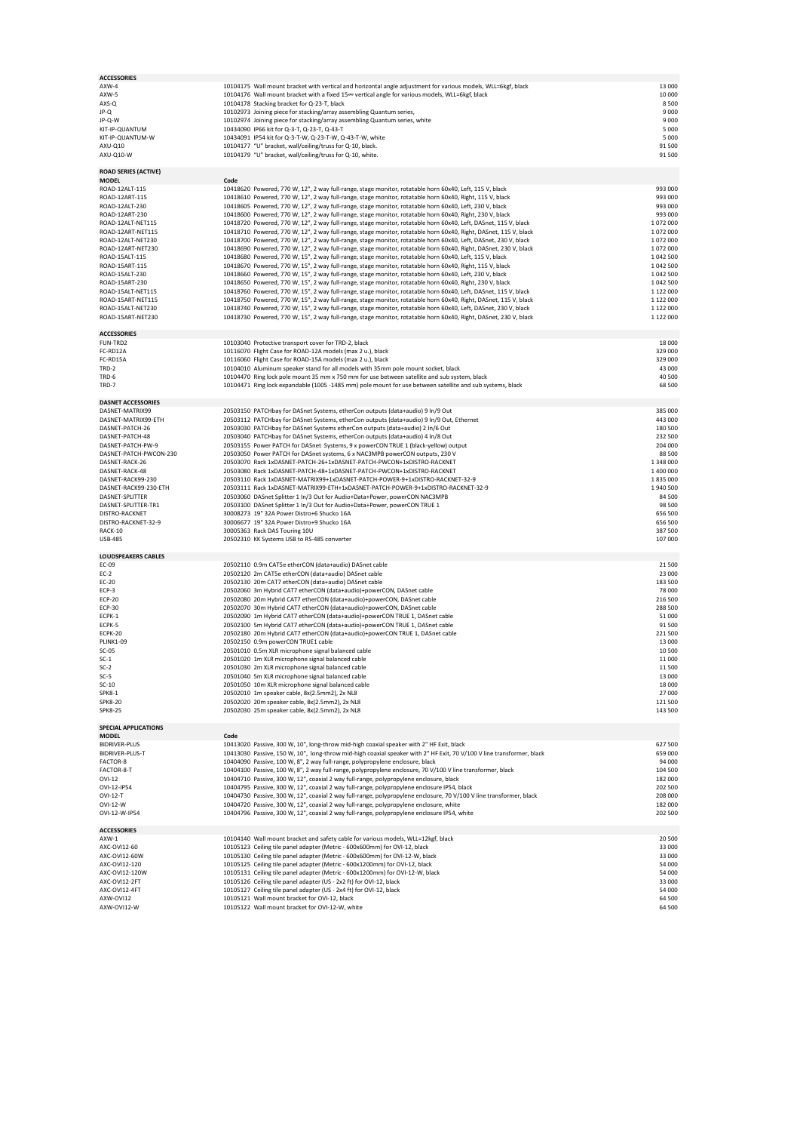| <b>ACCESSORIES</b>                         |                                                                                                                                                                                                                                     |                        |
|--------------------------------------------|-------------------------------------------------------------------------------------------------------------------------------------------------------------------------------------------------------------------------------------|------------------------|
| AXW-4<br>AXW-5                             | 10104175 Wall mount bracket with vertical and horizontal angle adjustment for various models, WLL=6kgf, black<br>10104176 Wall mount bracket with a fixed 15 <sup>oo</sup> vertical angle for various models, WLL=6kgf, black       | 13 000<br>10 000       |
| AXS-Q                                      | 10104178 Stacking bracket for Q-23-T, black                                                                                                                                                                                         | 8500                   |
| JP-Q                                       | 10102973 Joining piece for stacking/array assembling Quantum series,                                                                                                                                                                | 9 0 0 0                |
| JP-Q-W                                     | 10102974 Joining piece for stacking/array assembling Quantum series, white                                                                                                                                                          | 9 0 0 0                |
| KIT-IP-QUANTUM                             | 10434090 IP66 kit for Q-3-T, Q-23-T, Q-43-T                                                                                                                                                                                         | 5 0 0 0                |
| KIT-IP-OUANTUM-W                           | 10434091 IP54 kit for Q-3-T-W, Q-23-T-W, Q-43-T-W, white                                                                                                                                                                            | 5 0 0 0                |
| AXU-Q10                                    | 10104177 "U" bracket, wall/ceiling/truss for Q-10, black.                                                                                                                                                                           | 91 500                 |
| AXU-Q10-W                                  | 10104179 "U" bracket, wall/ceiling/truss for Q-10, white.                                                                                                                                                                           | 91 500                 |
| <b>ROAD SERIES (ACTIVE)</b>                |                                                                                                                                                                                                                                     |                        |
| <b>MODEL</b>                               | Code                                                                                                                                                                                                                                |                        |
| ROAD-12ALT-115                             | 10418620 Powered, 770 W, 12", 2 way full-range, stage monitor, rotatable horn 60x40, Left, 115 V, black                                                                                                                             | 993 000                |
| ROAD-12ART-115<br>ROAD-12ALT-230           | 10418610 Powered, 770 W, 12", 2 way full-range, stage monitor, rotatable horn 60x40, Right, 115 V, black                                                                                                                            | 993 000                |
| ROAD-12ART-230                             | 10418605 Powered, 770 W, 12", 2 way full-range, stage monitor, rotatable horn 60x40, Left, 230 V, black                                                                                                                             | 993 000<br>993 000     |
| ROAD-12ALT-NET115                          | 10418600 Powered, 770 W, 12", 2 way full-range, stage monitor, rotatable horn 60x40, Right, 230 V, black<br>10418720 Powered, 770 W, 12", 2 way full-range, stage monitor, rotatable horn 60x40, Left, DASnet, 115 V, black         | 1072000                |
| ROAD-12ART-NET115                          | 10418710 Powered, 770 W, 12", 2 way full-range, stage monitor, rotatable horn 60x40, Right, DASnet, 115 V, black                                                                                                                    | 1072000                |
| ROAD-12ALT-NET230                          | 10418700 Powered, 770 W, 12", 2 way full-range, stage monitor, rotatable horn 60x40, Left, DASnet, 230 V, black                                                                                                                     | 1072000                |
| ROAD-12ART-NET230                          | 10418690 Powered, 770 W, 12", 2 way full-range, stage monitor, rotatable horn 60x40, Right, DASnet, 230 V, black                                                                                                                    | 1072000                |
| ROAD-15ALT-115                             | 10418680 Powered, 770 W, 15", 2 way full-range, stage monitor, rotatable horn 60x40, Left, 115 V, black                                                                                                                             | 1 042 500              |
| ROAD-15ART-115                             | 10418670 Powered, 770 W, 15", 2 way full-range, stage monitor, rotatable horn 60x40, Right, 115 V, black                                                                                                                            | 1 042 500              |
| ROAD-15ALT-230                             | 10418660 Powered, 770 W, 15", 2 way full-range, stage monitor, rotatable horn 60x40, Left, 230 V, black                                                                                                                             | 1 042 500              |
| ROAD-15ART-230                             | 10418650 Powered, 770 W, 15", 2 way full-range, stage monitor, rotatable horn 60x40, Right, 230 V, black                                                                                                                            | 1 042 500              |
| ROAD-15ALT-NET115                          | 10418760 Powered, 770 W, 15", 2 way full-range, stage monitor, rotatable horn 60x40, Left, DASnet, 115 V, black                                                                                                                     | 1 122 000              |
| ROAD-15ART-NET115<br>ROAD-15ALT-NET230     | 10418750 Powered, 770 W, 15", 2 way full-range, stage monitor, rotatable horn 60x40, Right, DASnet, 115 V, black                                                                                                                    | 1 122 000<br>1 122 000 |
| ROAD-15ART-NET230                          | 10418740 Powered, 770 W, 15", 2 way full-range, stage monitor, rotatable horn 60x40, Left, DASnet, 230 V, black<br>10418730 Powered, 770 W, 15", 2 way full-range, stage monitor, rotatable horn 60x40, Right, DASnet, 230 V, black | 1 122 000              |
|                                            |                                                                                                                                                                                                                                     |                        |
| <b>ACCESSORIES</b><br>FUN-TRD2             | 10103040 Protective transport cover for TRD-2, black                                                                                                                                                                                | 18 000                 |
| FC-RD12A                                   | 10116070 Flight Case for ROAD-12A models (max 2 u.), black                                                                                                                                                                          | 329 000                |
| FC-RD15A                                   | 10116060 Flight Case for ROAD-15A models (max 2 u.), black                                                                                                                                                                          | 329 000                |
| TRD-2                                      | 10104010 Aluminum speaker stand for all models with 35mm pole mount socket, black                                                                                                                                                   | 43 000                 |
| TRD-6                                      | 10104470 Ring lock pole mount 35 mm x 750 mm for use between satellite and sub system, black                                                                                                                                        | 40 500                 |
| TRD-7                                      | 10104471 Ring lock expandable (1005 -1485 mm) pole mount for use between satellite and sub systems, black                                                                                                                           | 68 500                 |
| <b>DASNET ACCESSORIES</b>                  |                                                                                                                                                                                                                                     |                        |
| DASNET-MATRIX99                            | 20503150 PATCHbay for DASnet Systems, etherCon outputs (data+audio) 9 In/9 Out                                                                                                                                                      | 385 000                |
| DASNET-MATRIX99-ETH                        | 20503112 PATCHbay for DASnet Systems, etherCon outputs (data+audio) 9 In/9 Out, Ethernet                                                                                                                                            | 443 000                |
| DASNET-PATCH-26                            | 20503030 PATCHbay for DASnet Systems etherCon outputs (data+audio) 2 In/6 Out                                                                                                                                                       | 180 500                |
| DASNET-PATCH-48                            | 20503040 PATCHbay for DASnet Systems, etherCon outputs (data+audio) 4 In/8 Out                                                                                                                                                      | 232 500                |
| DASNET-PATCH-PW-9                          | 20503155 Power PATCH for DASnet Systems, 9 x powerCON TRUE 1 (black-yellow) output                                                                                                                                                  | 204 000                |
| DASNET-PATCH-PWCON-230                     | 20503050 Power PATCH for DASnet systems, 6 x NAC3MPB powerCON outputs, 230 V                                                                                                                                                        | 88 500                 |
| DASNET-RACK-26                             | 20503070 Rack 1xDASNET-PATCH-26+1xDASNET-PATCH-PWCON+1xDISTRO-RACKNET                                                                                                                                                               | 1 348 000              |
| DASNET-RACK-48                             | 20503080 Rack 1xDASNET-PATCH-48+1xDASNET-PATCH-PWCON+1xDISTRO-RACKNET                                                                                                                                                               | 1 400 000              |
| DASNET-RACK99-230<br>DASNET-RACK99-230-ETH | 20503110 Rack 1xDASNET-MATRIX99+1xDASNET-PATCH-POWER-9+1xDISTRO-RACKNET-32-9<br>20503111 Rack 1xDASNET-MATRIX99-ETH+1xDASNET-PATCH-POWER-9+1xDISTRO-RACKNET-32-9                                                                    | 1835000<br>1940 500    |
|                                            |                                                                                                                                                                                                                                     |                        |
|                                            |                                                                                                                                                                                                                                     |                        |
| DASNET-SPLITTER                            | 20503060 DASnet Splitter 1 In/3 Out for Audio+Data+Power, powerCON NAC3MPB                                                                                                                                                          | 84 500                 |
| DASNET-SPLITTER-TR1<br>DISTRO-RACKNET      | 20503100 DASnet Splitter 1 In/3 Out for Audio+Data+Power, powerCON TRUE 1<br>30008273 19" 32A Power Distro+6 Shucko 16A                                                                                                             | 98 500<br>656 500      |
| DISTRO-RACKNET-32-9                        | 30006677 19" 32A Power Distro+9 Shucko 16A                                                                                                                                                                                          | 656 500                |
| RACK-10                                    | 30005363 Rack DAS Touring 10U                                                                                                                                                                                                       | 387 500                |
| <b>USB-485</b>                             | 20502310 KK Systems USB to RS-485 converter                                                                                                                                                                                         | 107 000                |
| <b>LOUDSPEAKERS CABLES</b>                 |                                                                                                                                                                                                                                     |                        |
| EC-09                                      | 20502110 0.9m CAT5e etherCON (data+audio) DASnet cable                                                                                                                                                                              | 21 500                 |
| $EC-2$                                     | 20502120 2m CAT5e etherCON (data+audio) DASnet cable                                                                                                                                                                                | 23 000                 |
| EC-20                                      | 20502130 20m CAT7 etherCON (data+audio) DASnet cable                                                                                                                                                                                | 183 500                |
| ECP-3                                      | 20502060 3m Hybrid CAT7 etherCON (data+audio)+powerCON, DASnet cable                                                                                                                                                                | 78 000                 |
| <b>ECP-20</b>                              | 20502080 20m Hybrid CAT7 etherCON (data+audio)+powerCON, DASnet cable                                                                                                                                                               | 216 500                |
| <b>ECP-30</b><br>ECPK-1                    | 20502070 30m Hybrid CAT7 etherCON (data+audio)+powerCON, DASnet cable<br>20502090 1m Hybrid CAT7 etherCON (data+audio)+powerCON TRUE 1, DASnet cable                                                                                | 288 500<br>51 000      |
| ECPK-5                                     | 20502100 5m Hybrid CAT7 etherCON (data+audio)+powerCON TRUE 1, DASnet cable                                                                                                                                                         | 91 500                 |
| ECPK-20                                    | 20502180 20m Hybrid CAT7 etherCON (data+audio)+powerCON TRUE 1, DASnet cable                                                                                                                                                        | 221 500                |
| <b>PLINK1-09</b>                           | 20502150 0.9m powerCON TRUE1 cable                                                                                                                                                                                                  | 13 000                 |
| $SC-05$                                    | 20501010 0.5m XLR microphone signal balanced cable                                                                                                                                                                                  | 10 500                 |
| $SC-1$                                     | 20501020 1m XLR microphone signal balanced cable                                                                                                                                                                                    | 11 000                 |
| $SC-2$                                     | 20501030 2m XLR microphone signal balanced cable                                                                                                                                                                                    | 11500                  |
| $SC-5$                                     | 20501040 5m XLR microphone signal balanced cable<br>20501050 10m XLR microphone signal balanced cable                                                                                                                               | 13 000                 |
| $SC-10$<br><b>SPK8-1</b>                   | 20502010 1m speaker cable, 8x(2.5mm2), 2x NL8                                                                                                                                                                                       | 18 000<br>27 000       |
| <b>SPK8-20</b>                             | 20502020 20m speaker cable, 8x(2.5mm2), 2x NL8                                                                                                                                                                                      | 121 500                |
| <b>SPK8-25</b>                             | 20502030 25m speaker cable, 8x(2.5mm2), 2x NL8                                                                                                                                                                                      | 143 500                |
| <b>SPECIAL APPLICATIONS</b>                |                                                                                                                                                                                                                                     |                        |
| <b>MODEL</b>                               | Code                                                                                                                                                                                                                                |                        |
| <b>BIDRIVER-PLUS</b>                       | 10413020 Passive, 300 W, 10", long-throw mid-high coaxial speaker with 2" HF Exit, black                                                                                                                                            | 627 500                |
| BIDRIVER-PLUS-T                            | 10413030 Passive, 150 W, 10", long-throw mid-high coaxial speaker with 2" HF Exit, 70 V/100 V line transformer, black                                                                                                               | 659 000                |
| FACTOR-8                                   | 10404090 Passive, 100 W, 8", 2 way full-range, polypropylene enclosure, black                                                                                                                                                       | 94 000                 |
| FACTOR-8-T                                 | 10404100 Passive, 100 W, 8", 2 way full-range, polypropylene enclosure, 70 V/100 V line transformer, black                                                                                                                          | 104 500                |
| OVI-12                                     | 10404710 Passive, 300 W, 12", coaxial 2 way full-range, polypropylene enclosure, black                                                                                                                                              | 182 000                |
| OVI-12-IP54<br>OVI-12-T                    | 10404795 Passive, 300 W, 12", coaxial 2 way full-range, polypropylene enclosure IP54, black<br>10404730 Passive, 300 W, 12", coaxial 2 way full-range, polypropylene enclosure, 70 V/100 V line transformer, black                  | 202 500<br>208 000     |
| OVI-12-W                                   | 10404720 Passive, 300 W, 12", coaxial 2 way full-range, polypropylene enclosure, white                                                                                                                                              | 182 000                |
| OVI-12-W-IP54                              | 10404796 Passive, 300 W, 12", coaxial 2 way full-range, polypropylene enclosure IP54, white                                                                                                                                         | 202 500                |
|                                            |                                                                                                                                                                                                                                     |                        |
| <b>ACCESSORIES</b><br>AXW-1                | 10104140 Wall mount bracket and safety cable for various models, WLL=12kgf, black                                                                                                                                                   | 20 500                 |
| AXC-OVI12-60                               | 10105123 Ceiling tile panel adapter (Metric - 600x600mm) for OVI-12, black                                                                                                                                                          | 33 000                 |
| AXC-OVI12-60W                              | 10105130 Ceiling tile panel adapter (Metric - 600x600mm) for OVI-12-W, black                                                                                                                                                        | 33 000                 |
| AXC-OVI12-120                              | 10105125 Ceiling tile panel adapter (Metric - 600x1200mm) for OVI-12, black                                                                                                                                                         | 54 000                 |
| AXC-OVI12-120W                             | 10105131 Ceiling tile panel adapter (Metric - 600x1200mm) for OVI-12-W, black                                                                                                                                                       | 54 000                 |
| AXC-OVI12-2FT                              | 10105126 Ceiling tile panel adapter (US - 2x2 ft) for OVI-12, black                                                                                                                                                                 | 33 000                 |
| AXC-OVI12-4FT                              | 10105127 Ceiling tile panel adapter (US - 2x4 ft) for OVI-12, black                                                                                                                                                                 | 54 000                 |
| AXW-OVI12<br>AXW-OVI12-W                   | 10105121 Wall mount bracket for OVI-12, black<br>10105122 Wall mount bracket for OVI-12-W, white                                                                                                                                    | 64 500<br>64 500       |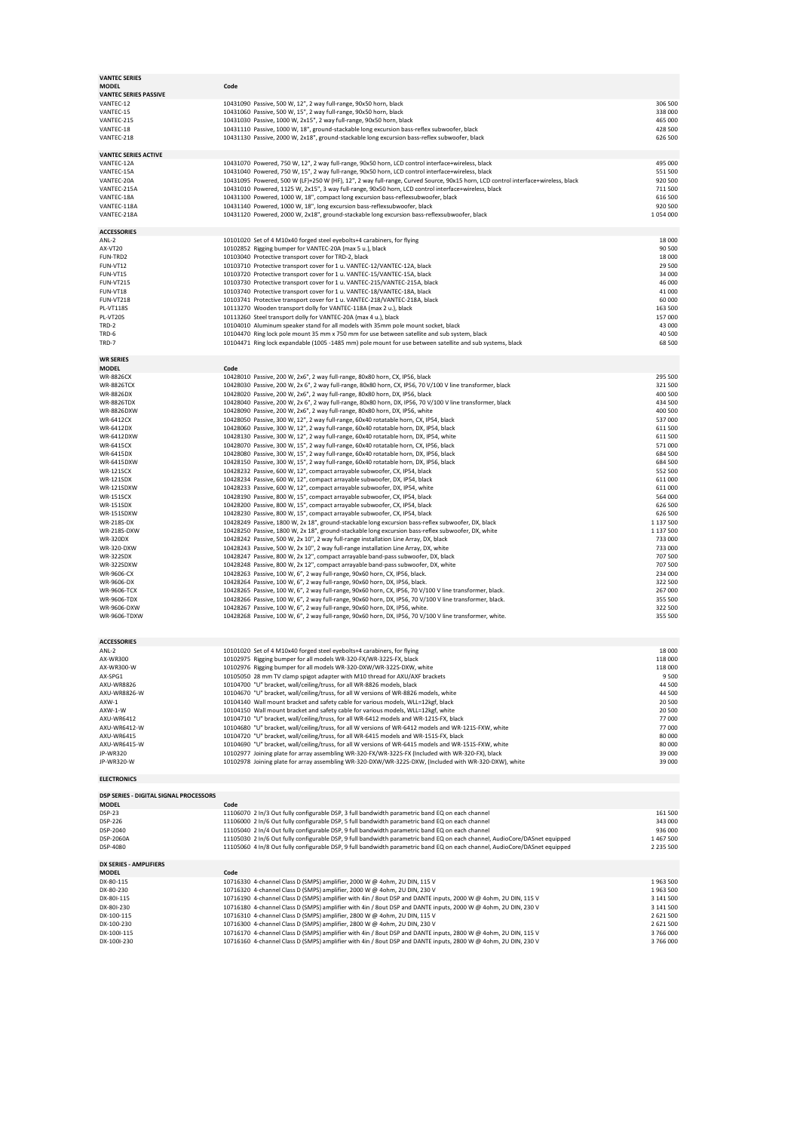| <b>VANTEC SERIES</b><br><b>MODEL</b>   | Code                                                                                                                                                                                                                                                     |                            |
|----------------------------------------|----------------------------------------------------------------------------------------------------------------------------------------------------------------------------------------------------------------------------------------------------------|----------------------------|
| <b>VANTEC SERIES PASSIVE</b>           |                                                                                                                                                                                                                                                          |                            |
| VANTEC-12                              | 10431090 Passive, 500 W, 12", 2 way full-range, 90x50 horn, black                                                                                                                                                                                        | 306 500                    |
| VANTEC-15<br>VANTEC-215                | 10431060 Passive, 500 W, 15", 2 way full-range, 90x50 horn, black<br>10431030 Passive, 1000 W, 2x15", 2 way full-range, 90x50 horn, black                                                                                                                | 338 000<br>465 000         |
| VANTEC-18                              | 10431110 Passive, 1000 W, 18", ground-stackable long excursion bass-reflex subwoofer, black                                                                                                                                                              | 428 500                    |
| VANTEC-218                             | 10431130 Passive, 2000 W, 2x18", ground-stackable long excursion bass-reflex subwoofer, black                                                                                                                                                            | 626 500                    |
|                                        |                                                                                                                                                                                                                                                          |                            |
| <b>VANTEC SERIES ACTIVE</b>            |                                                                                                                                                                                                                                                          |                            |
| VANTEC-12A<br>VANTEC-15A               | 10431070 Powered, 750 W, 12", 2 way full-range, 90x50 horn, LCD control interface+wireless, black<br>10431040 Powered, 750 W, 15", 2 way full-range, 90x50 horn, LCD control interface+wireless, black                                                   | 495,000<br>551 500         |
| VANTEC-20A                             | 10431095 Powered, 500 W (LF)+250 W (HF), 12", 2 way full-range, Curved Source, 90x15 horn, LCD control interface+wireless, black                                                                                                                         | 920 500                    |
| VANTEC-215A                            | 10431010 Powered, 1125 W, 2x15", 3 way full-range, 90x50 horn, LCD control interface+wireless, black                                                                                                                                                     | 711 500                    |
| VANTEC-18A                             | 10431100 Powered, 1000 W, 18", compact long excursion bass-reflexsubwoofer, black                                                                                                                                                                        | 616 500                    |
| VANTEC-118A                            | 10431140 Powered, 1000 W, 18", long excursion bass-reflexsubwoofer, black                                                                                                                                                                                | 920 500                    |
| VANTEC-218A                            | 10431120 Powered, 2000 W, 2x18", ground-stackable long excursion bass-reflexsubwoofer, black                                                                                                                                                             | 1054000                    |
| <b>ACCESSORIES</b>                     |                                                                                                                                                                                                                                                          |                            |
| ANL-2                                  | 10101020 Set of 4 M10x40 forged steel eyebolts+4 carabiners, for flying                                                                                                                                                                                  | 18 000                     |
| AX-VT20                                | 10102852 Rigging bumper for VANTEC-20A (max 5 u.), black                                                                                                                                                                                                 | 90 500                     |
| FUN-TRD2                               | 10103040 Protective transport cover for TRD-2, black                                                                                                                                                                                                     | 18 000                     |
| FUN-VT12<br>FUN-VT15                   | 10103710 Protective transport cover for 1 u. VANTEC-12/VANTEC-12A, black<br>10103720 Protective transport cover for 1 u. VANTEC-15/VANTEC-15A, black                                                                                                     | 29 500<br>34 000           |
| <b>FUN-VT215</b>                       | 10103730 Protective transport cover for 1 u. VANTEC-215/VANTEC-215A, black                                                                                                                                                                               | 46 000                     |
| FUN-VT18                               | 10103740 Protective transport cover for 1 u. VANTEC-18/VANTEC-18A, black                                                                                                                                                                                 | 41 000                     |
| <b>FUN-VT218</b>                       | 10103741 Protective transport cover for 1 u. VANTEC-218/VANTEC-218A, black                                                                                                                                                                               | 60 000                     |
| <b>PL-VT118S</b>                       | 10113270 Wooden transport dolly for VANTEC-118A (max 2 u.), black                                                                                                                                                                                        | 163 500                    |
| PL-VT20S<br>TRD-2                      | 10113260 Steel transport dolly for VANTEC-20A (max 4 u.), black<br>10104010 Aluminum speaker stand for all models with 35mm pole mount socket, black                                                                                                     | 157 000<br>43 000          |
| TRD-6                                  | 10104470 Ring lock pole mount 35 mm x 750 mm for use between satellite and sub system, black                                                                                                                                                             | 40 500                     |
| TRD-7                                  | 10104471 Ring lock expandable (1005 -1485 mm) pole mount for use between satellite and sub systems, black                                                                                                                                                | 68 500                     |
|                                        |                                                                                                                                                                                                                                                          |                            |
| <b>WR SERIES</b>                       |                                                                                                                                                                                                                                                          |                            |
| <b>MODEL</b><br><b>WR-8826CX</b>       | Code<br>10428010 Passive, 200 W, 2x6", 2 way full-range, 80x80 horn, CX, IP56, black                                                                                                                                                                     | 295 500                    |
| <b>WR-8826TCX</b>                      | 10428030 Passive, 200 W, 2x 6", 2 way full-range, 80x80 horn, CX, IP56, 70 V/100 V line transformer, black                                                                                                                                               | 321 500                    |
| WR-8826DX                              | 10428020 Passive, 200 W, 2x6", 2 way full-range, 80x80 horn, DX, IP56, black                                                                                                                                                                             | 400 500                    |
| <b>WR-8826TDX</b>                      | 10428040 Passive, 200 W, 2x 6", 2 way full-range, 80x80 horn, DX, IP56, 70 V/100 V line transformer, black                                                                                                                                               | 434 500                    |
| WR-8826DXW<br><b>WR-6412CX</b>         | 10428090 Passive, 200 W, 2x6", 2 way full-range, 80x80 horn, DX, IP56, white                                                                                                                                                                             | 400 500<br>537 000         |
| <b>WR-6412DX</b>                       | 10428050 Passive, 300 W, 12", 2 way full-range, 60x40 rotatable horn, CX, IP54, black<br>10428060 Passive, 300 W, 12", 2 way full-range, 60x40 rotatable horn, DX, IP54, black                                                                           | 611 500                    |
| WR-6412DXW                             | 10428130 Passive, 300 W, 12", 2 way full-range, 60x40 rotatable horn, DX, IP54, white                                                                                                                                                                    | 611 500                    |
| <b>WR-6415CX</b>                       | 10428070 Passive, 300 W, 15", 2 way full-range, 60x40 rotatable horn, CX, IP56, black                                                                                                                                                                    | 571,000                    |
| WR-6415DX                              | 10428080 Passive, 300 W, 15", 2 way full-range, 60x40 rotatable horn, DX, IP56, black                                                                                                                                                                    | 684 500                    |
| WR-6415DXW                             | 10428150 Passive, 300 W, 15", 2 way full-range, 60x40 rotatable horn, DX, IP56, black                                                                                                                                                                    | 684 500                    |
| <b>WR-121SCX</b><br><b>WR-121SDX</b>   | 10428232 Passive, 600 W, 12", compact arrayable subwoofer, CX, IP54, black<br>10428234 Passive, 600 W, 12", compact arrayable subwoofer, DX, IP54, black                                                                                                 | 552 500<br>611 000         |
| WR-121SDXW                             | 10428233 Passive, 600 W, 12", compact arrayable subwoofer, DX, IP54, white                                                                                                                                                                               | 611 000                    |
| <b>WR-151SCX</b>                       | 10428190 Passive, 800 W, 15", compact arrayable subwoofer, CX, IP54, black                                                                                                                                                                               | 564 000                    |
| <b>WR-151SDX</b>                       | 10428200 Passive, 800 W, 15", compact arrayable subwoofer, CX, IP54, black                                                                                                                                                                               | 626 500                    |
| WR-151SDXW<br>WR-218S-DX               | 10428230 Passive, 800 W, 15", compact arrayable subwoofer, CX, IP54, black<br>10428249 Passive, 1800 W, 2x 18", ground-stackable long excursion bass-reflex subwoofer, DX, black                                                                         | 626 500<br>1 137 500       |
| WR-218S-DXW                            | 10428250 Passive, 1800 W, 2x 18", ground-stackable long excursion bass-reflex subwoofer, DX, white                                                                                                                                                       | 1 137 500                  |
| <b>WR-320DX</b>                        | 10428242 Passive, 500 W, 2x 10", 2 way full-range installation Line Array, DX, black                                                                                                                                                                     | 733 000                    |
| WR-320-DXW                             | 10428243 Passive, 500 W, 2x 10", 2 way full-range installation Line Array, DX, white                                                                                                                                                                     | 733 000                    |
| <b>WR-322SDX</b>                       | 10428247 Passive, 800 W, 2x 12", compact arrayable band-pass subwoofer, DX, black                                                                                                                                                                        | 707 500                    |
| WR-322SDXW<br>WR-9606-CX               | 10428248 Passive, 800 W, 2x 12", compact arrayable band-pass subwoofer, DX, white<br>10428263 Passive, 100 W, 6", 2 way full-range, 90x60 horn, CX, IP56, black.                                                                                         | 707 500<br>234 000         |
| WR-9606-DX                             | 10428264 Passive, 100 W, 6", 2 way full-range, 90x60 horn, DX, IP56, black.                                                                                                                                                                              | 322 500                    |
| <b>WR-9606-TCX</b>                     | 10428265 Passive, 100 W, 6", 2 way full-range, 90x60 horn, CX, IP56, 70 V/100 V line transformer, black.                                                                                                                                                 |                            |
| WR-9606-TDX                            | 10428266 Passive, 100 W, 6", 2 way full-range, 90x60 horn, DX, IP56, 70 V/100 V line transformer, black.                                                                                                                                                 | 267 000                    |
|                                        |                                                                                                                                                                                                                                                          | 355 500                    |
| WR-9606-DXW                            | 10428267 Passive, 100 W, 6", 2 way full-range, 90x60 horn, DX, IP56, white.                                                                                                                                                                              | 322 500                    |
| WR-9606-TDXW                           | 10428268 Passive, 100 W, 6", 2 way full-range, 90x60 horn, DX, IP56, 70 V/100 V line transformer, white.                                                                                                                                                 | 355 500                    |
|                                        |                                                                                                                                                                                                                                                          |                            |
| <b>ACCESSORIES</b>                     |                                                                                                                                                                                                                                                          |                            |
| ANL-2                                  | 10101020 Set of 4 M10x40 forged steel eyebolts+4 carabiners, for flying                                                                                                                                                                                  | 18 000                     |
| AX-WR300                               | 10102975 Rigging bumper for all models WR-320-FX/WR-322S-FX, black                                                                                                                                                                                       | 118 000                    |
| AX-WR300-W<br>AX-SPG1                  | 10102976 Rigging bumper for all models WR-320-DXW/WR-322S-DXW, white                                                                                                                                                                                     | 118 000<br>9500            |
| AXU-WR8826                             | 10105050 28 mm TV clamp spigot adapter with M10 thread for AXU/AXF brackets<br>10104700 "U" bracket, wall/ceiling/truss, for all WR-8826 models, black                                                                                                   | 44 500                     |
| AXU-WR8826-W                           | 10104670 "U" bracket, wall/ceiling/truss, for all W versions of WR-8826 models, white                                                                                                                                                                    | 44 500                     |
| AXW-1                                  | 10104140 Wall mount bracket and safety cable for various models, WLL=12kgf, black                                                                                                                                                                        | 20 500                     |
| AXW-1-W                                | 10104150 Wall mount bracket and safety cable for various models, WLL=12kgf, white                                                                                                                                                                        | 20 500                     |
| AXU-WR6412<br>AXU-WR6412-W             | 10104710 "U" bracket, wall/ceiling/truss, for all WR-6412 models and WR-121S-FX, black<br>10104680 "U" bracket, wall/ceiling/truss, for all W versions of WR-6412 models and WR-121S-FXW, white                                                          | 77 000<br>77 000           |
| AXU-WR6415                             | 10104720 "U" bracket, wall/ceiling/truss, for all WR-6415 models and WR-151S-FX, black                                                                                                                                                                   | 80 000                     |
| AXU-WR6415-W                           | 10104690 "U" bracket, wall/ceiling/truss, for all W versions of WR-6415 models and WR-151S-FXW, white                                                                                                                                                    | 80 000                     |
| JP-WR320                               | 10102977 Joining plate for array assembling WR-320-FX/WR-322S-FX (Included with WR-320-FX), black                                                                                                                                                        | 39 000                     |
| JP-WR320-W                             | 10102978 Joining plate for array assembling WR-320-DXW/WR-322S-DXW, (Included with WR-320-DXW), white                                                                                                                                                    |                            |
| <b>ELECTRONICS</b>                     |                                                                                                                                                                                                                                                          |                            |
| DSP SERIES - DIGITAL SIGNAL PROCESSORS |                                                                                                                                                                                                                                                          | 39 000                     |
| <b>MODEL</b>                           | Code                                                                                                                                                                                                                                                     |                            |
| <b>DSP-23</b>                          | 11106070 2 In/3 Out fully configurable DSP, 3 full bandwidth parametric band EQ on each channel                                                                                                                                                          | 161 500                    |
| DSP-226                                | 11106000 2 In/6 Out fully configurable DSP, 5 full bandwidth parametric band EQ on each channel                                                                                                                                                          | 343 000                    |
| DSP-2040                               | 11105040 2 In/4 Out fully configurable DSP, 9 full bandwidth parametric band EQ on each channel                                                                                                                                                          | 936 000                    |
| DSP-2060A<br>DSP-4080                  | 11105030 2 In/6 Out fully configurable DSP, 9 full bandwidth parametric band EQ on each channel, AudioCore/DASnet equipped<br>11105060 4 In/8 Out fully configurable DSP, 9 full bandwidth parametric band EQ on each channel, AudioCore/DASnet equipped | 1 467 500<br>2 2 3 5 5 0 0 |
|                                        |                                                                                                                                                                                                                                                          |                            |
| DX SERIES - AMPLIFIERS<br><b>MODEL</b> | Code                                                                                                                                                                                                                                                     |                            |
| DX-80-115                              | 10716330 4-channel Class D (SMPS) amplifier, 2000 W @ 4ohm, 2U DIN, 115 V                                                                                                                                                                                | 1963 500                   |
| DX-80-230                              | 10716320 4-channel Class D (SMPS) amplifier, 2000 W @ 4ohm, 2U DIN, 230 V                                                                                                                                                                                | 1963 500                   |
| DX-80I-115                             | 10716190 4-channel Class D (SMPS) amplifier with 4in / 8out DSP and DANTE inputs, 2000 W @ 4ohm, 2U DIN, 115 V                                                                                                                                           | 3 141 500                  |
| DX-80I-230                             | 10716180 4-channel Class D (SMPS) amplifier with 4in / 8out DSP and DANTE inputs, 2000 W @ 4ohm, 2U DIN, 230 V                                                                                                                                           | 3 141 500                  |
| DX-100-115<br>DX-100-230               | 10716310 4-channel Class D (SMPS) amplifier, 2800 W @ 4ohm, 2U DIN, 115 V<br>10716300 4-channel Class D (SMPS) amplifier, 2800 W @ 4ohm, 2U DIN, 230 V                                                                                                   | 2 621 500<br>2 621 500     |
| DX-100I-115<br>DX-100I-230             | 10716170 4-channel Class D (SMPS) amplifier with 4in / 8out DSP and DANTE inputs, 2800 W @ 4ohm, 2U DIN, 115 V<br>10716160 4-channel Class D (SMPS) amplifier with 4in / 8out DSP and DANTE inputs, 2800 W @ 4ohm, 2U DIN, 230 V                         | 3766000<br>3766000         |